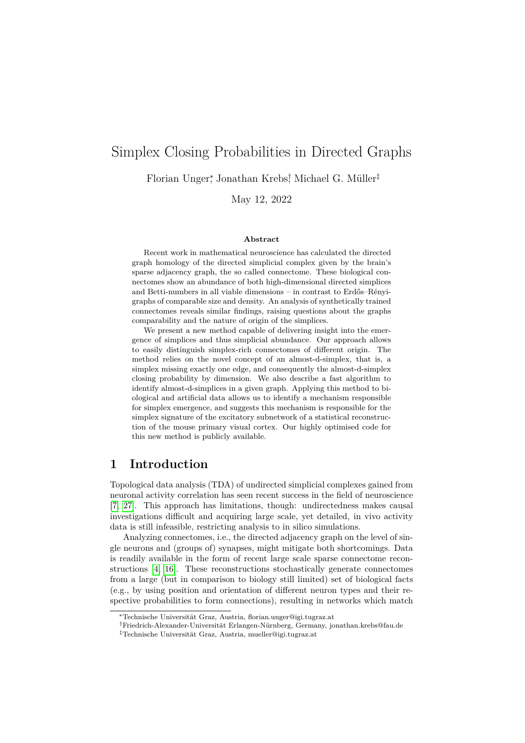# Simplex Closing Probabilities in Directed Graphs

Florian Unger<sup>∗</sup> , Jonathan Krebs† , Michael G. Müller‡

May 12, 2022

#### **Abstract**

Recent work in mathematical neuroscience has calculated the directed graph homology of the directed simplicial complex given by the brain's sparse adjacency graph, the so called connectome. These biological connectomes show an abundance of both high-dimensional directed simplices and Betti-numbers in all viable dimensions – in contrast to Erdős–Rényigraphs of comparable size and density. An analysis of synthetically trained connectomes reveals similar findings, raising questions about the graphs comparability and the nature of origin of the simplices.

We present a new method capable of delivering insight into the emergence of simplices and thus simplicial abundance. Our approach allows to easily distinguish simplex-rich connectomes of different origin. The method relies on the novel concept of an almost-d-simplex, that is, a simplex missing exactly one edge, and consequently the almost-d-simplex closing probability by dimension. We also describe a fast algorithm to identify almost-d-simplices in a given graph. Applying this method to biological and artificial data allows us to identify a mechanism responsible for simplex emergence, and suggests this mechanism is responsible for the simplex signature of the excitatory subnetwork of a statistical reconstruction of the mouse primary visual cortex. Our highly optimised code for this new method is publicly available.

# <span id="page-0-0"></span>**1 Introduction**

Topological data analysis (TDA) of undirected simplicial complexes gained from neuronal activity correlation has seen recent success in the field of neuroscience [\[7,](#page-23-0) [27\]](#page-25-0). This approach has limitations, though: undirectedness makes causal investigations difficult and acquiring large scale, yet detailed, in vivo activity data is still infeasible, restricting analysis to in silico simulations.

Analyzing connectomes, i.e., the directed adjacency graph on the level of single neurons and (groups of) synapses, might mitigate both shortcomings. Data is readily available in the form of recent large scale sparse connectome reconstructions [\[4,](#page-23-1) [16\]](#page-24-0). These reconstructions stochastically generate connectomes from a large (but in comparison to biology still limited) set of biological facts (e.g., by using position and orientation of different neuron types and their respective probabilities to form connections), resulting in networks which match

<sup>∗</sup>Technische Universität Graz, Austria, florian.unger@igi.tugraz.at

<sup>†</sup>Friedrich-Alexander-Universität Erlangen-Nürnberg, Germany, jonathan.krebs@fau.de ‡Technische Universität Graz, Austria, mueller@igi.tugraz.at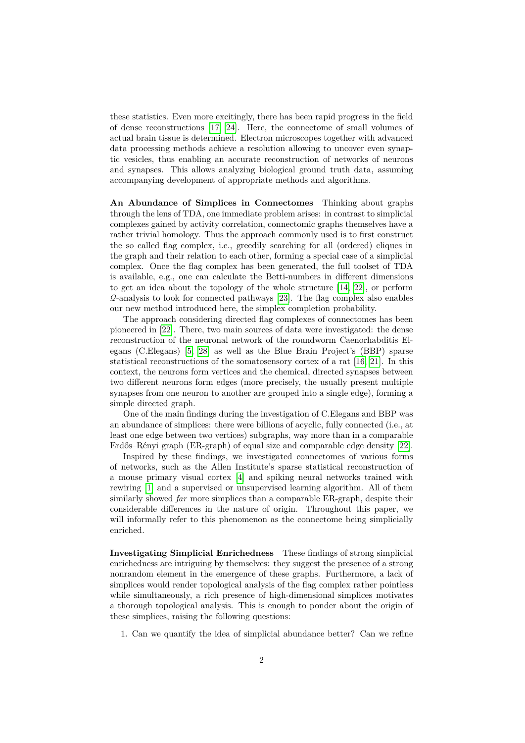these statistics. Even more excitingly, there has been rapid progress in the field of dense reconstructions [\[17,](#page-24-1) [24\]](#page-25-1). Here, the connectome of small volumes of actual brain tissue is determined. Electron microscopes together with advanced data processing methods achieve a resolution allowing to uncover even synaptic vesicles, thus enabling an accurate reconstruction of networks of neurons and synapses. This allows analyzing biological ground truth data, assuming accompanying development of appropriate methods and algorithms.

**An Abundance of Simplices in Connectomes** Thinking about graphs through the lens of TDA, one immediate problem arises: in contrast to simplicial complexes gained by activity correlation, connectomic graphs themselves have a rather trivial homology. Thus the approach commonly used is to first construct the so called flag complex, i.e., greedily searching for all (ordered) cliques in the graph and their relation to each other, forming a special case of a simplicial complex. Once the flag complex has been generated, the full toolset of TDA is available, e.g., one can calculate the Betti-numbers in different dimensions to get an idea about the topology of the whole structure [\[14,](#page-24-2) [22\]](#page-24-3), or perform  $\mathcal{Q}$ -analysis to look for connected pathways [\[23\]](#page-25-2). The flag complex also enables our new method introduced here, the simplex completion probability.

The approach considering directed flag complexes of connectomes has been pioneered in [\[22\]](#page-24-3). There, two main sources of data were investigated: the dense reconstruction of the neuronal network of the roundworm Caenorhabditis Elegans (C.Elegans) [\[5,](#page-23-2) [28\]](#page-25-3) as well as the Blue Brain Project's (BBP) sparse statistical reconstructions of the somatosensory cortex of a rat [\[16,](#page-24-0) [21\]](#page-24-4). In this context, the neurons form vertices and the chemical, directed synapses between two different neurons form edges (more precisely, the usually present multiple synapses from one neuron to another are grouped into a single edge), forming a simple directed graph.

One of the main findings during the investigation of C.Elegans and BBP was an abundance of simplices: there were billions of acyclic, fully connected (i.e., at least one edge between two vertices) subgraphs, way more than in a comparable Erdős–Rényi graph (ER-graph) of equal size and comparable edge density [\[22\]](#page-24-3).

Inspired by these findings, we investigated connectomes of various forms of networks, such as the Allen Institute's sparse statistical reconstruction of a mouse primary visual cortex [\[4\]](#page-23-1) and spiking neural networks trained with rewiring [\[1\]](#page-23-3) and a supervised or unsupervised learning algorithm. All of them similarly showed *far* more simplices than a comparable ER-graph, despite their considerable differences in the nature of origin. Throughout this paper, we will informally refer to this phenomenon as the connectome being simplicially enriched.

**Investigating Simplicial Enrichedness** These findings of strong simplicial enrichedness are intriguing by themselves: they suggest the presence of a strong nonrandom element in the emergence of these graphs. Furthermore, a lack of simplices would render topological analysis of the flag complex rather pointless while simultaneously, a rich presence of high-dimensional simplices motivates a thorough topological analysis. This is enough to ponder about the origin of these simplices, raising the following questions:

1. Can we quantify the idea of simplicial abundance better? Can we refine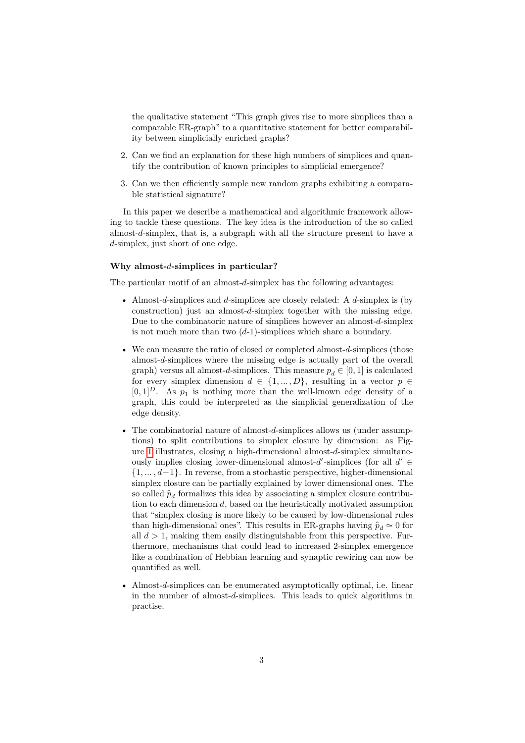the qualitative statement "This graph gives rise to more simplices than a comparable ER-graph" to a quantitative statement for better comparability between simplicially enriched graphs?

- 2. Can we find an explanation for these high numbers of simplices and quantify the contribution of known principles to simplicial emergence?
- 3. Can we then efficiently sample new random graphs exhibiting a comparable statistical signature?

In this paper we describe a mathematical and algorithmic framework allowing to tackle these questions. The key idea is the introduction of the so called almost-d-simplex, that is, a subgraph with all the structure present to have a d-simplex, just short of one edge.

#### **Why almost--simplices in particular?**

The particular motif of an almost- $d$ -simplex has the following advantages:

- Almost- $d$ -simplices and  $d$ -simplices are closely related: A  $d$ -simplex is (by construction) just an almost- $d$ -simplex together with the missing edge. Due to the combinatoric nature of simplices however an almost- $d$ -simplex is not much more than two  $(d-1)$ -simplices which share a boundary.
- We can measure the ratio of closed or completed almost- $d$ -simplices (those almost-d-simplices where the missing edge is actually part of the overall graph) versus all almost-d-simplices. This measure  $p_d \in [0, 1]$  is calculated for every simplex dimension  $d \in \{1, ..., D\}$ , resulting in a vector  $p \in$  $[0, 1]^D$ . As  $p_1$  is nothing more than the well-known edge density of a graph, this could be interpreted as the simplicial generalization of the edge density.
- The combinatorial nature of almost- $d$ -simplices allows us (under assumptions) to split contributions to simplex closure by dimension: as Fig-ure [1](#page-3-0) illustrates, closing a high-dimensional almost- $d$ -simplex simultaneously implies closing lower-dimensional almost- $d'$ -simplices (for all  $d' \in$  $\{1, \ldots, d-1\}$ . In reverse, from a stochastic perspective, higher-dimensional simplex closure can be partially explained by lower dimensional ones. The so called  $\hat{p}_d$  formalizes this idea by associating a simplex closure contribution to each dimension  $d$ , based on the heuristically motivated assumption that "simplex closing is more likely to be caused by low-dimensional rules than high-dimensional ones". This results in ER-graphs having  $\hat{p}_d \simeq 0$  for all  $d > 1$ , making them easily distinguishable from this perspective. Furthermore, mechanisms that could lead to increased 2-simplex emergence like a combination of Hebbian learning and synaptic rewiring can now be quantified as well.
- Almost- $d$ -simplices can be enumerated asymptotically optimal, i.e. linear in the number of almost- $d$ -simplices. This leads to quick algorithms in practise.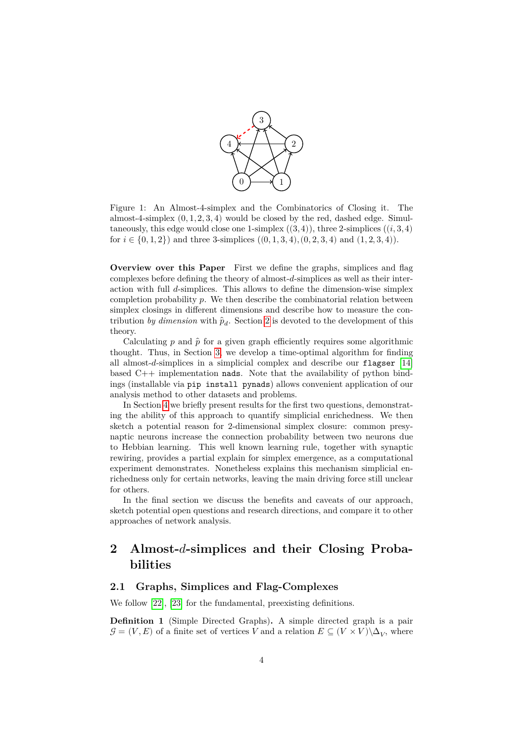

<span id="page-3-0"></span>Figure 1: An Almost-4-simplex and the Combinatorics of Closing it. The almost-4-simplex  $(0, 1, 2, 3, 4)$  would be closed by the red, dashed edge. Simultaneously, this edge would close one 1-simplex  $((3, 4))$ , three 2-simplices  $((i, 3, 4))$ for  $i \in \{0, 1, 2\}$  and three 3-simplices  $((0, 1, 3, 4), (0, 2, 3, 4)$  and  $(1, 2, 3, 4)$ .

**Overview over this Paper** First we define the graphs, simplices and flag complexes before defining the theory of almost- $d$ -simplices as well as their interaction with full  $d$ -simplices. This allows to define the dimension-wise simplex completion probability  $p$ . We then describe the combinatorial relation between simplex closings in different dimensions and describe how to measure the contribution *by dimension* with  $\hat{p}_d$ . Section [2](#page-3-1) is devoted to the development of this theory.

Calculating  $p$  and  $\hat{p}$  for a given graph efficiently requires some algorithmic thought. Thus, in Section [3,](#page-10-0) we develop a time-optimal algorithm for finding all almost- $d$ -simplices in a simplicial complex and describe our flagser  $[14]$ based  $C++$  implementation nads. Note that the availability of python bindings (installable via pip install pynads) allows convenient application of our analysis method to other datasets and problems.

In Section [4](#page-15-0) we briefly present results for the first two questions, demonstrating the ability of this approach to quantify simplicial enrichedness. We then sketch a potential reason for 2-dimensional simplex closure: common presynaptic neurons increase the connection probability between two neurons due to Hebbian learning. This well known learning rule, together with synaptic rewiring, provides a partial explain for simplex emergence, as a computational experiment demonstrates. Nonetheless explains this mechanism simplicial enrichedness only for certain networks, leaving the main driving force still unclear for others.

In the final section we discuss the benefits and caveats of our approach, sketch potential open questions and research directions, and compare it to other approaches of network analysis.

# <span id="page-3-1"></span>**2 Almost--simplices and their Closing Probabilities**

## **2.1 Graphs, Simplices and Flag-Complexes**

We follow [\[22\]](#page-24-3), [\[23\]](#page-25-2) for the fundamental, preexisting definitions.

**Definition 1** (Simple Directed Graphs)**.** A simple directed graph is a pair  $\mathcal{G} = (V, E)$  of a finite set of vertices V and a relation  $E \subseteq (V \times V) \backslash \Delta_V$ , where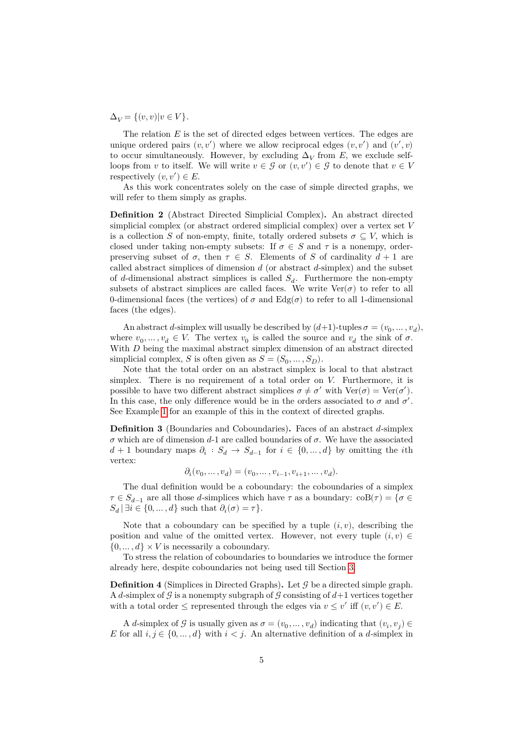$\Delta_V = \{(v, v) | v \in V\}.$ 

The relation  $E$  is the set of directed edges between vertices. The edges are unique ordered pairs  $(v, v')$  where we allow reciprocal edges  $(v, v')$  and  $(v', v)$ to occur simultaneously. However, by excluding  $\Delta_V$  from E, we exclude selfloops from v to itself. We will write  $v \in \mathcal{G}$  or  $(v, v') \in \mathcal{G}$  to denote that  $v \in V$ respectively  $(v, v') \in E$ .

As this work concentrates solely on the case of simple directed graphs, we will refer to them simply as graphs.

**Definition 2** (Abstract Directed Simplicial Complex)**.** An abstract directed simplicial complex (or abstract ordered simplicial complex) over a vertex set  $V$ is a collection S of non-empty, finite, totally ordered subsets  $\sigma \subseteq V$ , which is closed under taking non-empty subsets: If  $\sigma \in S$  and  $\tau$  is a nonempy, orderpreserving subset of  $\sigma$ , then  $\tau \in S$ . Elements of S of cardinality  $d+1$  are called abstract simplices of dimension  $d$  (or abstract  $d$ -simplex) and the subset of d-dimensional abstract simplices is called  $S_d$ . Furthermore the non-empty subsets of abstract simplices are called faces. We write  $\text{Ver}(\sigma)$  to refer to all 0-dimensional faces (the vertices) of  $\sigma$  and  $Edg(\sigma)$  to refer to all 1-dimensional faces (the edges).

An abstract *d*-simplex will usually be described by  $(d+1)$ -tuples  $\sigma = (v_0, \dots, v_d)$ , where  $v_0, \ldots, v_d \in V$ . The vertex  $v_0$  is called the source and  $v_d$  the sink of  $\sigma$ . With  $D$  being the maximal abstract simplex dimension of an abstract directed simplicial complex, S is often given as  $S = (S_0, \dots, S_D)$ .

Note that the total order on an abstract simplex is local to that abstract simplex. There is no requirement of a total order on  $V$ . Furthermore, it is possible to have two different abstract simplices  $\sigma \neq \sigma'$  with  $\text{Ver}(\sigma) = \text{Ver}(\sigma')$ . In this case, the only difference would be in the orders associated to  $\sigma$  and  $\sigma'$ . See Example [1](#page-5-0) for an example of this in the context of directed graphs.

<span id="page-4-0"></span>**Definition 3** (Boundaries and Coboundaries). Faces of an abstract  $d$ -simplex  $\sigma$  which are of dimension d-1 are called boundaries of  $\sigma$ . We have the associated  $d+1$  boundary maps  $\partial_i : S_d \to S_{d-1}$  for  $i \in \{0, ..., d\}$  by omitting the *i*th vertex:

$$
\partial_i(v_0,\ldots,v_d)=(v_0,\ldots,v_{i-1},v_{i+1},\ldots,v_d).
$$

The dual definition would be a coboundary: the coboundaries of a simplex  $\tau \in S_{d-1}$  are all those d-simplices which have  $\tau$  as a boundary:  $\text{coB}(\tau) = \{ \sigma \in S_{d-1} \}$  $S_d \, | \, \exists i \in \{0, \ldots, d\} \text{ such that } \partial_i(\sigma) = \tau \}.$ 

Note that a coboundary can be specified by a tuple  $(i, v)$ , describing the position and value of the omitted vertex. However, not every tuple  $(i, v) \in$  $\{0, \ldots, d\} \times V$  is necessarily a coboundary.

To stress the relation of coboundaries to boundaries we introduce the former already here, despite coboundaries not being used till Section [3.](#page-10-0)

**Definition 4** (Simplices in Directed Graphs). Let  $\mathcal{G}$  be a directed simple graph. A d-simplex of  $\mathcal G$  is a nonempty subgraph of  $\mathcal G$  consisting of  $d+1$  vertices together with a total order  $\leq$  represented through the edges via  $v \leq v'$  iff  $(v, v') \in E$ .

A d-simplex of  $\mathcal G$  is usually given as  $\sigma = (v_0, \dots, v_d)$  indicating that  $(v_i, v_j) \in$ E for all  $i, j \in \{0, ..., d\}$  with  $i < j$ . An alternative definition of a d-simplex in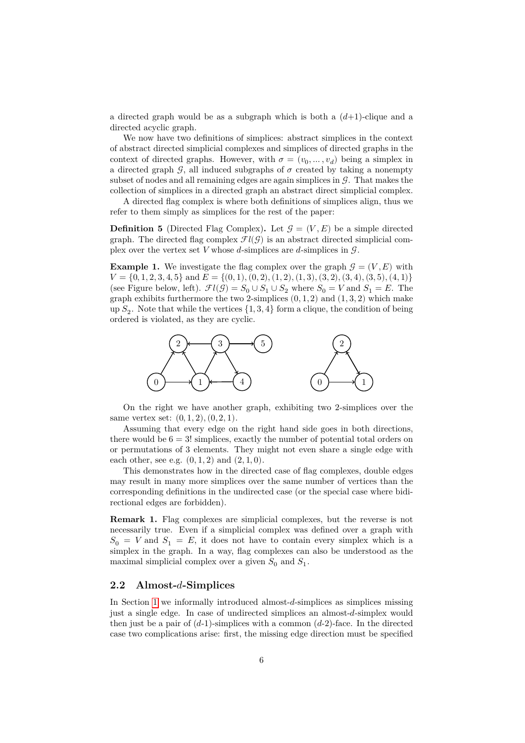a directed graph would be as a subgraph which is both a  $(d+1)$ -clique and a directed acyclic graph.

We now have two definitions of simplices: abstract simplices in the context of abstract directed simplicial complexes and simplices of directed graphs in the context of directed graphs. However, with  $\sigma = (v_0, \dots, v_d)$  being a simplex in a directed graph  $\mathcal{G}$ , all induced subgraphs of  $\sigma$  created by taking a nonempty subset of nodes and all remaining edges are again simplices in  $\mathcal G$ . That makes the collection of simplices in a directed graph an abstract direct simplicial complex.

A directed flag complex is where both definitions of simplices align, thus we refer to them simply as simplices for the rest of the paper:

**Definition 5** (Directed Flag Complex). Let  $\mathcal{G} = (V, E)$  be a simple directed graph. The directed flag complex  $\mathcal{F}l(\mathcal{G})$  is an abstract directed simplicial complex over the vertex set V whose d-simplices are d-simplices in  $\mathcal{G}$ .

<span id="page-5-0"></span>**Example 1.** We investigate the flag complex over the graph  $\mathcal{G} = (V, E)$  with  $V = \{0, 1, 2, 3, 4, 5\}$  and  $E = \{(0, 1), (0, 2), (1, 2), (1, 3), (3, 2), (3, 4), (3, 5), (4, 1)\}$ (see Figure below, left).  $\mathcal{F}l(\mathcal{G}) = S_0 \cup S_1 \cup S_2$  where  $S_0 = V$  and  $S_1 = E$ . The graph exhibits furthermore the two 2-simplices  $(0, 1, 2)$  and  $(1, 3, 2)$  which make up  $S_2$ . Note that while the vertices  $\{1,3,4\}$  form a clique, the condition of being ordered is violated, as they are cyclic.



On the right we have another graph, exhibiting two 2-simplices over the same vertex set:  $(0, 1, 2), (0, 2, 1)$ .

Assuming that every edge on the right hand side goes in both directions, there would be  $6 = 3!$  simplices, exactly the number of potential total orders on or permutations of 3 elements. They might not even share a single edge with each other, see e.g.  $(0, 1, 2)$  and  $(2, 1, 0)$ .

This demonstrates how in the directed case of flag complexes, double edges may result in many more simplices over the same number of vertices than the corresponding definitions in the undirected case (or the special case where bidirectional edges are forbidden).

**Remark 1.** Flag complexes are simplicial complexes, but the reverse is not necessarily true. Even if a simplicial complex was defined over a graph with  $S_0 = V$  and  $S_1 = E$ , it does not have to contain every simplex which is a simplex in the graph. In a way, flag complexes can also be understood as the maximal simplicial complex over a given  $S_0$  and  $S_1$ .

## **2.2 Almost--Simplices**

In Section [1](#page-0-0) we informally introduced almost- $d$ -simplices as simplices missing just a single edge. In case of undirected simplices an almost-d-simplex would then just be a pair of  $(d-1)$ -simplices with a common  $(d-2)$ -face. In the directed case two complications arise: first, the missing edge direction must be specified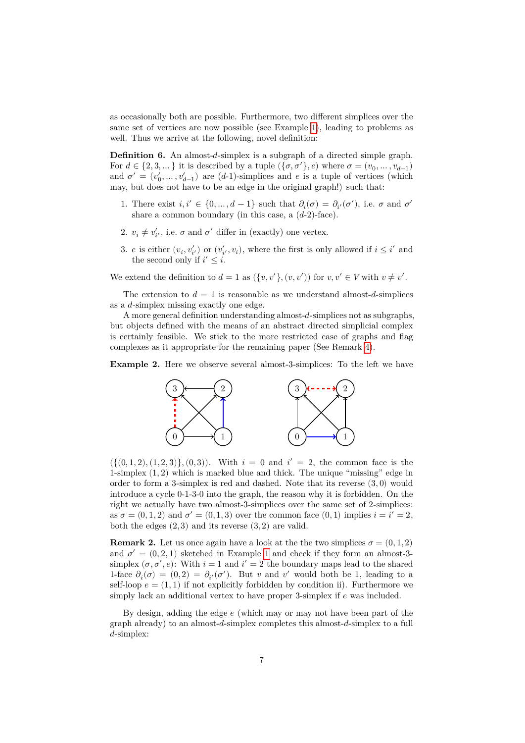as occasionally both are possible. Furthermore, two different simplices over the same set of vertices are now possible (see Example [1\)](#page-5-0), leading to problems as well. Thus we arrive at the following, novel definition:

<span id="page-6-0"></span>**Definition 6.** An almost-d-simplex is a subgraph of a directed simple graph. For  $d \in \{2, 3, \dots\}$  it is described by a tuple  $(\{\sigma, \sigma'\}, e)$  where  $\sigma = (v_0, \dots, v_{d-1})$ and  $\sigma' = (v'_0, \dots, v'_{d-1})$  are  $(d-1)$ -simplices and  $e$  is a tuple of vertices (which may, but does not have to be an edge in the original graph!) such that:

- 1. There exist  $i, i' \in \{0, ..., d-1\}$  such that  $\partial_i(\sigma) = \partial_{i'}(\sigma')$ , i.e.  $\sigma$  and  $\sigma'$ share a common boundary (in this case, a  $(d-2)$ -face).
- 2.  $v_i \neq v'_{i'}$ , i.e.  $\sigma$  and  $\sigma'$  differ in (exactly) one vertex.
- 3. *e* is either  $(v_i, v'_{i'})$  or  $(v'_{i'}, v_i)$ , where the first is only allowed if  $i \leq i'$  and the second only if  $i' \leq i$ .

We extend the definition to  $d = 1$  as  $({v, v'}, (v, v'))$  for  $v, v' \in V$  with  $v \neq v'$ .

The extension to  $d = 1$  is reasonable as we understand almost-d-simplices as a  $d$ -simplex missing exactly one edge.

A more general definition understanding almost- $d$ -simplices not as subgraphs, but objects defined with the means of an abstract directed simplicial complex is certainly feasible. We stick to the more restricted case of graphs and flag complexes as it appropriate for the remaining paper (See Remark [4\)](#page-8-0).

**Example 2.** Here we observe several almost-3-simplices: To the left we have



 $({(0,1,2), (1,2,3)}, (0,3))$ . With  $i = 0$  and  $i' = 2$ , the common face is the 1-simplex  $(1, 2)$  which is marked blue and thick. The unique "missing" edge in order to form a 3-simplex is red and dashed. Note that its reverse (3, 0) would introduce a cycle 0-1-3-0 into the graph, the reason why it is forbidden. On the right we actually have two almost-3-simplices over the same set of 2-simplices: as  $\sigma = (0, 1, 2)$  and  $\sigma' = (0, 1, 3)$  over the common face  $(0, 1)$  implies  $i = i' = 2$ , both the edges  $(2,3)$  and its reverse  $(3,2)$  are valid.

<span id="page-6-1"></span>**Remark 2.** Let us once again have a look at the two simplices  $\sigma = (0, 1, 2)$ and  $\sigma' = (0, 2, 1)$  $\sigma' = (0, 2, 1)$  $\sigma' = (0, 2, 1)$  sketched in Example 1 and check if they form an almost-3simplex  $(\sigma, \sigma', e)$ : With  $i = 1$  and  $i' = 2$  the boundary maps lead to the shared 1-face  $\partial_i(\sigma) = (0, 2) = \partial_{i'}(\sigma')$ . But v and v' would both be 1, leading to a self-loop  $e = (1, 1)$  if not explicitly forbidden by condition ii). Furthermore we simply lack an additional vertex to have proper 3-simplex if  $e$  was included.

By design, adding the edge  $e$  (which may or may not have been part of the graph already) to an almost- $d$ -simplex completes this almost- $d$ -simplex to a full  $d$ -simplex: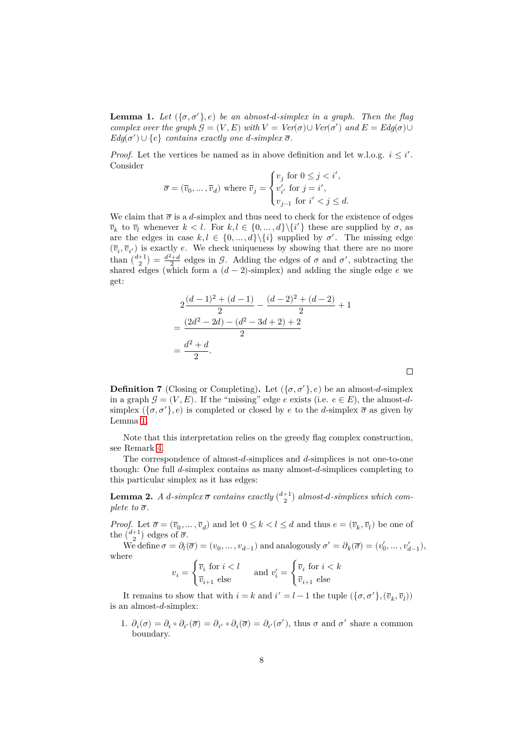<span id="page-7-0"></span>**Lemma 1.** Let  $({\lbrace \sigma, \sigma' \rbrace}, e)$  be an almost-*d*-simplex in a graph. Then the flag *complex over the graph*  $\mathcal{G} = (V, E)$  *with*  $V = \text{Ver}(\sigma) \cup \text{Ver}(\sigma')$  *and*  $E = \text{Edg}(\sigma) \cup$  $Edg(\sigma') \cup \{e\}$  *contains exactly one d-simplex*  $\overline{\sigma}$ *.* 

*Proof.* Let the vertices be named as in above definition and let w.l.o.g.  $i \leq i'$ . Consider

$$
\overline{\sigma} = (\overline{v}_0, \ldots, \overline{v}_d) \text{ where } \overline{v}_j = \begin{cases} v_j \text{ for } 0 \leq j < i', \\ v'_{i'} \text{ for } j = i', \\ v_{j-1} \text{ for } i' < j \leq d. \end{cases}
$$

We claim that  $\overline{\sigma}$  is a d-simplex and thus need to check for the existence of edges  $\overline{v}_k$  to  $\overline{v}_l$  whenever  $k < l$ . For  $k, l \in \{0, ..., d\} \setminus \{i'\}$  these are supplied by  $\sigma$ , as are the edges in case  $k, l \in \{0, ..., d\} \setminus \{i\}$  supplied by  $\sigma'$ . The missing edge  $(\overline{v}_i, \overline{v}_{i'})$  is exactly e. We check uniqueness by showing that there are no more than  $\binom{d+1}{2} = \frac{d^2+d}{2}$  edges in  $\mathcal{G}$ . Adding the edges of  $\sigma$  and  $\sigma'$ , subtracting the shared edges (which form a  $(d-2)$ -simplex) and adding the single edge  $e$  we get:

$$
2\frac{(d-1)^2 + (d-1)}{2} - \frac{(d-2)^2 + (d-2)}{2} + 1
$$
  
= 
$$
\frac{(2d^2 - 2d) - (d^2 - 3d + 2) + 2}{2}
$$
  
= 
$$
\frac{d^2 + d}{2}.
$$

**Definition 7** (Closing or Completing). Let  $({\lbrace \sigma, \sigma' \rbrace}, e)$  be an almost-d-simplex in a graph  $\mathcal{G} = (V, E)$ . If the "missing" edge e exists (i.e.  $e \in E$ ), the almost-dsimplex  $({\{\sigma, \sigma'\}, e})$  is completed or closed by  $e$  to the d-simplex  $\overline{\sigma}$  as given by Lemma [1.](#page-7-0)

Note that this interpretation relies on the greedy flag complex construction, see Remark [4.](#page-8-0)

The correspondence of almost- $d$ -simplices and  $d$ -simplices is not one-to-one though: One full  $d$ -simplex contains as many almost- $d$ -simplices completing to this particular simplex as it has edges:

<span id="page-7-1"></span>**Lemma 2.** *A d*-simplex  $\overline{\sigma}$  contains exactly  $\binom{d+1}{2}$  almost-d-simplices which com*plete to*  $\overline{\sigma}$ *.* 

*Proof.* Let  $\overline{\sigma} = (\overline{v}_0, \dots, \overline{v}_d)$  and let  $0 \leq k < l \leq d$  and thus  $e = (\overline{v}_k, \overline{v}_l)$  be one of the  $\binom{d+1}{2}$  edges of  $\overline{\sigma}$ .

We define  $\sigma = \partial_l(\overline{\sigma}) = (v_0, \dots, v_{d-1})$  and analogously  $\sigma' = \partial_k(\overline{\sigma}) = (v'_0, \dots, v'_{d-1}),$ where

$$
v_i = \begin{cases} \overline{v}_i \text{ for } i < l \\ \overline{v}_{i+1} \text{ else} \end{cases} \quad \text{and } v'_i = \begin{cases} \overline{v}_i \text{ for } i < k \\ \overline{v}_{i+1} \text{ else} \end{cases}
$$

It remains to show that with  $i = k$  and  $i' = l - 1$  the tuple  $(\{\sigma, \sigma'\}, (\overline{v}_k, \overline{v}_l))$ is an almost- $d$ -simplex:

1.  $\partial_i(\sigma) = \partial_i \circ \partial_{i'}(\overline{\sigma}) = \partial_{i'} \circ \partial_i(\overline{\sigma}) = \partial_{i'}(\sigma')$ , thus  $\sigma$  and  $\sigma'$  share a common boundary.

 $\Box$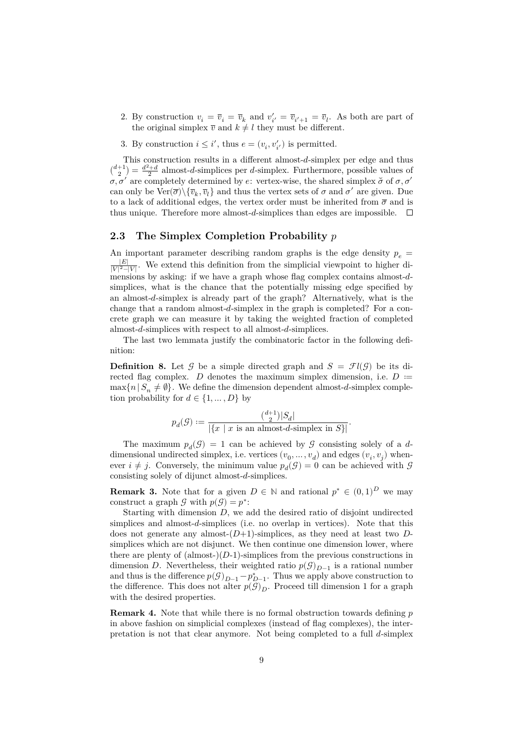- 2. By construction  $v_i = \overline{v}_i = \overline{v}_k$  and  $v'_{i'} = \overline{v}_{i'+1} = \overline{v}_l$ . As both are part of the original simplex  $\overline{v}$  and  $k \neq l$  they must be different.
- 3. By construction  $i \leq i'$ , thus  $e = (v_i, v'_{i'})$  is permitted.

This construction results in a different almost-d-simplex per edge and thus  $\binom{d+1}{2} = \frac{d^2+d}{2}$  almost-d-simplices per d-simplex. Furthermore, possible values of  $\sigma$ ,  $\sigma'$  are completely determined by  $e$ : vertex-wise, the shared simplex  $\sigma$  of  $\sigma$ ,  $\sigma'$ can only be  $\text{Ver}(\overline{\sigma})\setminus{\{\overline{v}_k,\overline{v}_l\}}$  and thus the vertex sets of  $\sigma$  and  $\sigma'$  are given. Due to a lack of additional edges, the vertex order must be inherited from  $\bar{\sigma}$  and is thus unique. Therefore more almost- $d$ -simplices than edges are impossible.  $\square$ 

## **2.3 The Simplex Completion Probability**

An important parameter describing random graphs is the edge density  $p_e$  =  $\frac{|E|}{|V|^2-|V|}$ . We extend this definition from the simplicial viewpoint to higher dimensions by asking: if we have a graph whose flag complex contains almost-dsimplices, what is the chance that the potentially missing edge specified by an almost- $d$ -simplex is already part of the graph? Alternatively, what is the change that a random almost- $d$ -simplex in the graph is completed? For a concrete graph we can measure it by taking the weighted fraction of completed almost- $d$ -simplices with respect to all almost- $d$ -simplices.

The last two lemmata justify the combinatoric factor in the following definition:

<span id="page-8-1"></span>**Definition 8.** Let  $\mathcal{G}$  be a simple directed graph and  $S = \mathcal{F}l(\mathcal{G})$  be its directed flag complex. *D* denotes the maximum simplex dimension, i.e.  $D :=$  $\max\{n | S_n \neq \emptyset\}.$  We define the dimension dependent almost-d-simplex completion probability for  $d \in \{1, ..., D\}$  by

$$
p_d(\mathcal{G}) := \frac{\binom{d+1}{2}|S_d|}{|\{x \mid x \text{ is an almost-d-simplex in } S\}|}.
$$

The maximum  $p_d(\mathcal{G}) = 1$  can be achieved by  $\mathcal G$  consisting solely of a ddimensional undirected simplex, i.e. vertices  $(v_0, \ldots, v_d)$  and edges  $(v_i, v_j)$  whenever  $i \neq j$ . Conversely, the minimum value  $p_d(\mathcal{G}) = 0$  can be achieved with  $\mathcal{G}$ consisting solely of dijunct almost- $d$ -simplices.

<span id="page-8-2"></span>**Remark 3.** Note that for a given  $D \in \mathbb{N}$  and rational  $p^* \in (0,1)^D$  we may construct a graph  $\mathcal G$  with  $p(\mathcal G) = p^*$ :

Starting with dimension  $D$ , we add the desired ratio of disjoint undirected simplices and almost-d-simplices (i.e. no overlap in vertices). Note that this does not generate any almost- $(D+1)$ -simplices, as they need at least two Dsimplices which are not disjunct. We then continue one dimension lower, where there are plenty of  $(\text{almost-})(D-1)$ -simplices from the previous constructions in dimension D. Nevertheless, their weighted ratio  $p(\mathcal{G})_{D-1}$  is a rational number and thus is the difference  $p(\mathcal{G})_{D-1} - p_{D-1}^*$ . Thus we apply above construction to the difference. This does not alter  $p(\mathcal{G})_D$ . Proceed till dimension 1 for a graph with the desired properties.

<span id="page-8-0"></span>**Remark 4.** Note that while there is no formal obstruction towards defining p in above fashion on simplicial complexes (instead of flag complexes), the interpretation is not that clear anymore. Not being completed to a full  $d$ -simplex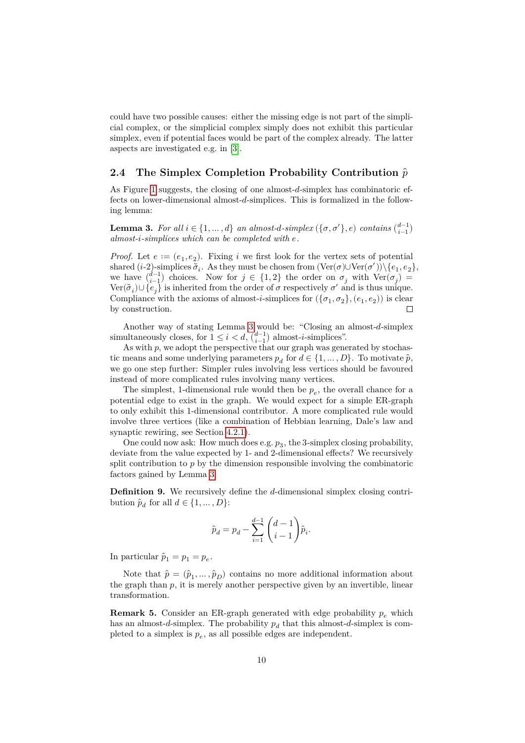could have two possible causes: either the missing edge is not part of the simplicial complex, or the simplicial complex simply does not exhibit this particular simplex, even if potential faces would be part of the complex already. The latter aspects are investigated e.g. in [\[3\]](#page-23-4).

## <span id="page-9-2"></span>**2.4 The Simplex Completion Probability Contribution** ̂

As Figure [1](#page-3-0) suggests, the closing of one almost- $d$ -simplex has combinatoric effects on lower-dimensional almost-d-simplices. This is formalized in the following lemma:

<span id="page-9-0"></span>**Lemma 3.** *For all*  $i \in \{1, ..., d\}$  *an almost-d-simplex*  $(\{\sigma, \sigma'\}, e)$  *contains*  $\binom{d-1}{i-1}$ *almost--simplices which can be completed with .*

*Proof.* Let  $e := (e_1, e_2)$ . Fixing i we first look for the vertex sets of potential shared (*i*-2)-simplices  $\breve{\sigma}_i$ . As they must be chosen from  $(\text{Ver}(\sigma) \cup \text{Ver}(\sigma'))\setminus \{e_1, e_2\}$ , we have  $\binom{d-1}{i-1}$  choices. Now for  $j \in \{1,2\}$  the order on  $\sigma_j$  with  $\text{Ver}(\sigma_j) =$ Ver $(\check{\sigma}_i) \cup \{\check{e}_j\}$  is inherited from the order of  $\sigma$  respectively  $\sigma'$  and is thus unique. Compliance with the axioms of almost-*i*-simplices for  $(\{\sigma_1, \sigma_2\}, (e_1, e_2))$  is clear by construction.

Another way of stating Lemma [3](#page-9-0) would be: "Closing an almost-d-simplex simultaneously closes, for  $1 \leq i < d$ ,  $\binom{d-1}{i-1}$  almost-*i*-simplices".

As with  $p$ , we adopt the perspective that our graph was generated by stochastic means and some underlying parameters  $p_d$  for  $d \in \{1, ..., D\}$ . To motivate  $\hat{p}$ , we go one step further: Simpler rules involving less vertices should be favoured instead of more complicated rules involving many vertices.

The simplest, 1-dimensional rule would then be  $p_e,$  the overall chance for a potential edge to exist in the graph. We would expect for a simple ER-graph to only exhibit this 1-dimensional contributor. A more complicated rule would involve three vertices (like a combination of Hebbian learning, Dale's law and synaptic rewiring, see Section [4.2.1\)](#page-19-0).

One could now ask: How much does e.g.  $p_3$ , the 3-simplex closing probability, deviate from the value expected by 1- and 2-dimensional effects? We recursively split contribution to  $p$  by the dimension responsible involving the combinatoric factors gained by Lemma [3:](#page-9-0)

**Definition 9.** We recursively define the d-dimensional simplex closing contribution  $\hat{p}_d$  for all  $d \in \{1, ..., D\}$ :

$$
\hat{p}_d = p_d - \sum_{i=1}^{d-1} \binom{d-1}{i-1} \hat{p}_i.
$$

In particular  $\hat{p}_1 = p_1 = p_e$ .

Note that  $\hat{p} = (\hat{p}_1, \dots, \hat{p}_D)$  contains no more additional information about the graph than  $p$ , it is merely another perspective given by an invertible, linear transformation.

<span id="page-9-1"></span>**Remark 5.** Consider an ER-graph generated with edge probability  $p_e$  which has an almost-d-simplex. The probability  $p_d$  that this almost-d-simplex is completed to a simplex is  $p_e$ , as all possible edges are independent.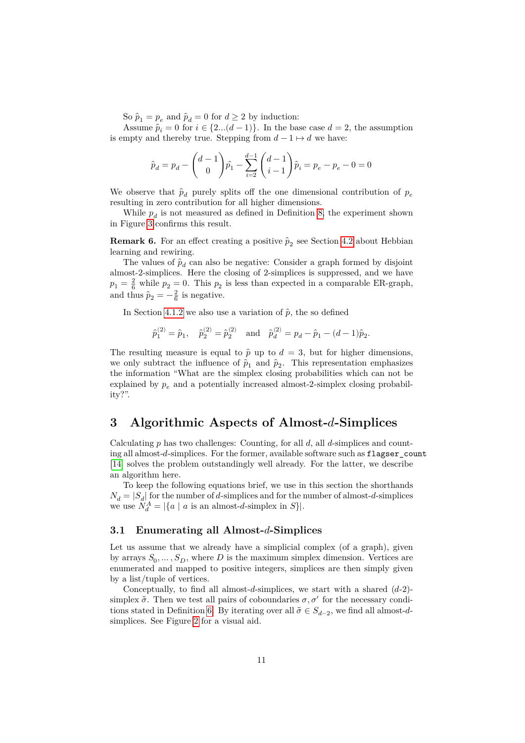So  $\hat{p}_1 = p_e$  and  $\hat{p}_d = 0$  for  $d \ge 2$  by induction:

Assume  $\hat{p}_i = 0$  for  $i \in \{2...(d-1)\}$ . In the base case  $d = 2$ , the assumption is empty and thereby true. Stepping from  $d - 1 \mapsto d$  we have:

$$
\hat{p}_d = p_d - \binom{d-1}{0} \hat{p}_1 - \sum_{i=2}^{d-1} \binom{d-1}{i-1} \hat{p}_i = p_e - p_e - 0 = 0
$$

We observe that  $\hat{p}_d$  purely splits off the one dimensional contribution of  $p_e$ resulting in zero contribution for all higher dimensions.

While  $p_d$  is not measured as defined in Definition [8,](#page-8-1) the experiment shown in Figure [3](#page-16-0) confirms this result.

**Remark 6.** For an effect creating a positive  $\hat{p}_2$  see Section [4.2](#page-19-1) about Hebbian learning and rewiring.

The values of  $\hat{p}_d$  can also be negative: Consider a graph formed by disjoint almost-2-simplices. Here the closing of 2-simplices is suppressed, and we have  $p_1 = \frac{2}{6}$  while  $p_2 = 0$ . This  $p_2$  is less than expected in a comparable ER-graph, and thus  $\hat{p}_2 = -\frac{2}{6}$  is negative.

In Section [4.1.2](#page-18-0) we also use a variation of  $\hat{p}$ , the so defined

$$
\hat{p}_1^{(2)} = \hat{p}_1
$$
,  $\hat{p}_2^{(2)} = \hat{p}_2^{(2)}$  and  $\hat{p}_d^{(2)} = p_d - \hat{p}_1 - (d-1)\hat{p}_2$ .

The resulting measure is equal to  $\hat{p}$  up to  $d = 3$ , but for higher dimensions, we only subtract the influence of  $\hat{p}_1$  and  $\hat{p}_2$ . This representation emphasizes the information "What are the simplex closing probabilities which can not be explained by  $p_e$  and a potentially increased almost-2-simplex closing probability?".

# <span id="page-10-0"></span>**3 Algorithmic Aspects of Almost--Simplices**

Calculating  $p$  has two challenges: Counting, for all  $d$ , all  $d$ -simplices and counting all almost-d-simplices. For the former, available software such as flagser\_count [\[14\]](#page-24-2) solves the problem outstandingly well already. For the latter, we describe an algorithm here.

To keep the following equations brief, we use in this section the shorthands  $N_d = |S_d|$  for the number of d-simplices and for the number of almost-d-simplices we use  $N_d^A = |\{a \mid a \text{ is an almost-d-simplex in } S\}|.$ 

## **3.1 Enumerating all Almost--Simplices**

Let us assume that we already have a simplicial complex (of a graph), given by arrays  $S_0, \ldots, S_D$ , where D is the maximum simplex dimension. Vertices are enumerated and mapped to positive integers, simplices are then simply given by a list/tuple of vertices.

Conceptually, to find all almost-d-simplices, we start with a shared  $(d-2)$ simplex  $\check{\sigma}$ . Then we test all pairs of coboundaries  $\sigma, \sigma'$  for the necessary condi-tions stated in Definition [6.](#page-6-0) By iterating over all  $\breve{\sigma} \in S_{d-2}$ , we find all almost-dsimplices. See Figure [2](#page-11-0) for a visual aid.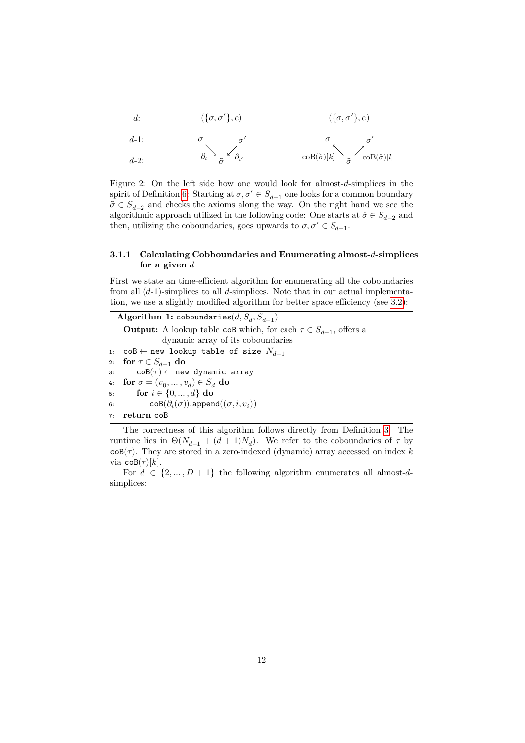$$
d: (\{\sigma, \sigma'\}, e) \qquad (\{\sigma, \sigma'\}, e)
$$

$$
\begin{array}{ccc}\n d\text{-}1: & \sigma & \sigma' & \sigma' \\
d\text{-}2: & \partial_i \searrow \frac{\sigma'}{\sigma} & \cosh(\check{\sigma})[k] \searrow \frac{\sigma'}{\sigma} & \cosh(\check{\sigma})[l]\n \end{array}
$$

<span id="page-11-0"></span>Figure 2: On the left side how one would look for almost- $d$ -simplices in the spirit of Definition [6:](#page-6-0) Starting at  $\sigma, \sigma' \in S_{d-1}$  one looks for a common boundary  $\check{\sigma} \in S_{d-2}$  and checks the axioms along the way. On the right hand we see the algorithmic approach utilized in the following code: One starts at  $\check{\sigma} \in S_{d-2}$  and then, utilizing the coboundaries, goes upwards to  $\sigma, \sigma' \in S_{d-1}$ .

#### **3.1.1 Calculating Cobboundaries and Enumerating almost--simplices for a given**

First we state an time-efficient algorithm for enumerating all the coboundaries from all  $(d-1)$ -simplices to all d-simplices. Note that in our actual implementation, we use a slightly modified algorithm for better space efficiency (see [3.2\)](#page-14-0):

 $\mathbf{Algorithm} \ \mathbf{1:} \ \mathsf{coboundaries}(d, S_d, S_{d-1})$ **Output:** A lookup table coB which, for each  $\tau \in S_{d-1}$ , offers a dynamic array of its coboundaries 1: coB ← new lookup table of size  $N_{d-1}$ 2: **for**  $\tau \in S_{d-1}$  **do** 3:  $\text{coB}(\tau) \leftarrow \text{new dynamic array}$ 4: **for**  $\sigma = (v_0, \dots, v_d) \in S_d$  **do** 5: **for**  $i \in \{0, ..., d\}$  **do** 6:  $\cosh(\partial_i(\sigma)) . \text{append}((\sigma,i,v_i))$ 7: **return** coB

The correctness of this algorithm follows directly from Definition [3.](#page-4-0) The runtime lies in  $\Theta(N_{d-1} + (d+1)N_d)$ . We refer to the coboundaries of  $\tau$  by  $\cosh(\tau)$ . They are stored in a zero-indexed (dynamic) array accessed on index k via  $\cosh(\tau)[k]$ .

For  $d \in \{2, ..., D + 1\}$  the following algorithm enumerates all almost-dsimplices: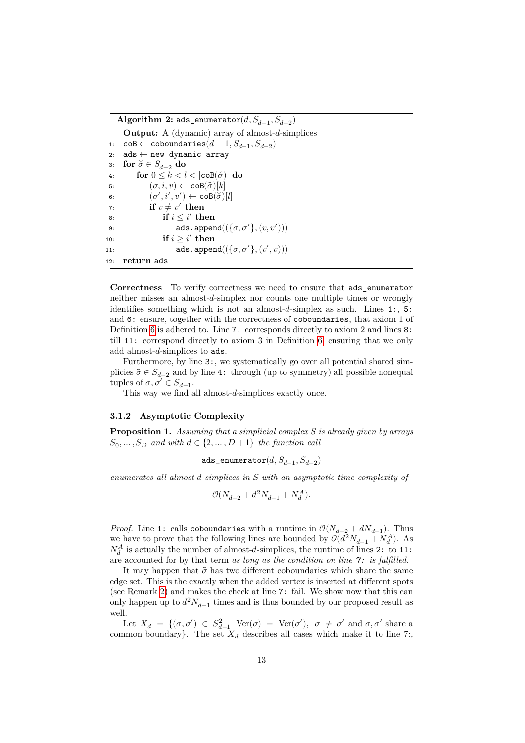**Algorithm 2:** ads\_enumerator $(d, S_{d-1}, S_{d-2})$ 

**Output:** A (dynamic) array of almost-d-simplices 1: coB ← coboundaries $(d-1, S_{d-1}, S_{d-2})$ 2:  $ads ← new dynamic array$ 3: **for**  $\breve{\sigma} \in S_{d-2}$  **do** 4: **for**  $0 \leq k < l < |\text{coB}(\breve{\sigma})|$  do 5:  $(\sigma, i, v) \leftarrow \text{coB}(\breve{\sigma})[k]$ 6:  $(\sigma', i', v') \leftarrow \mathtt{coB}(\breve{\sigma})[l]$ 7: **if**  $v \neq v'$  then 8: **if**  $i \leq i'$  then 9: ads.append $((\{\sigma, \sigma'\}, (v, v')))$ 10: **if**  $i \geq i'$  **then** 11:  $\mathtt{ads.append}((\{\sigma, \sigma'\}, (v', v)))$ 12: **return** ads

**Correctness** To verify correctness we need to ensure that ads\_enumerator neither misses an almost- $d$ -simplex nor counts one multiple times or wrongly identifies something which is not an almost- $d$ -simplex as such. Lines 1:, 5: and 6: ensure, together with the correctness of coboundaries, that axiom 1 of Definition [6](#page-6-0) is adhered to. Line 7: corresponds directly to axiom 2 and lines 8: till 11: correspond directly to axiom 3 in Definition [6,](#page-6-0) ensuring that we only add almost- $d$ -simplices to ads.

Furthermore, by line 3:, we systematically go over all potential shared simplicies  $\breve{\sigma} \in S_{d-2}$  and by line 4: through (up to symmetry) all possible nonequal tuples of  $\sigma, \sigma' \in S_{d-1}$ .

This way we find all almost- $d$ -simplices exactly once.

#### **3.1.2 Asymptotic Complexity**

**Proposition 1.** *Assuming that a simplicial complex is already given by arrays*  $S_0, \ldots, S_D$  and with  $d \in \{2, \ldots, D+1\}$  the function call

$$
\verb+ads\_enumerator+(d, S_{d-1}, S_{d-2})
$$

*enumerates all almost-d-simplices in*  $S$  with an asymptotic time complexity of

$$
\mathcal{O}(N_{d-2}+d^2N_{d-1}+N_d^A).
$$

*Proof.* Line 1: calls coboundaries with a runtime in  $\mathcal{O}(N_{d-2} + dN_{d-1})$ . Thus we have to prove that the following lines are bounded by  $\mathcal{O}(d^2 N_{d-1} + N_d^A)$ . As  $N_d^A$  is actually the number of almost-d-simplices, the runtime of lines 2: to 11: are accounted for by that term *as long as the condition on line 7: is fulfilled*.

It may happen that  $\check{\sigma}$  has two different coboundaries which share the same edge set. This is the exactly when the added vertex is inserted at different spots (see Remark [2\)](#page-6-1) and makes the check at line 7: fail. We show now that this can only happen up to  $d^2N_{d-1}$  times and is thus bounded by our proposed result as well.

Let  $X_d = \{(\sigma, \sigma') \in S_{d-1}^2 | \text{ Ver}(\sigma) = \text{Ver}(\sigma'), \sigma \neq \sigma' \text{ and } \sigma, \sigma' \text{ share a } \}$ common boundary}. The set  $X_d$  describes all cases which make it to line 7:,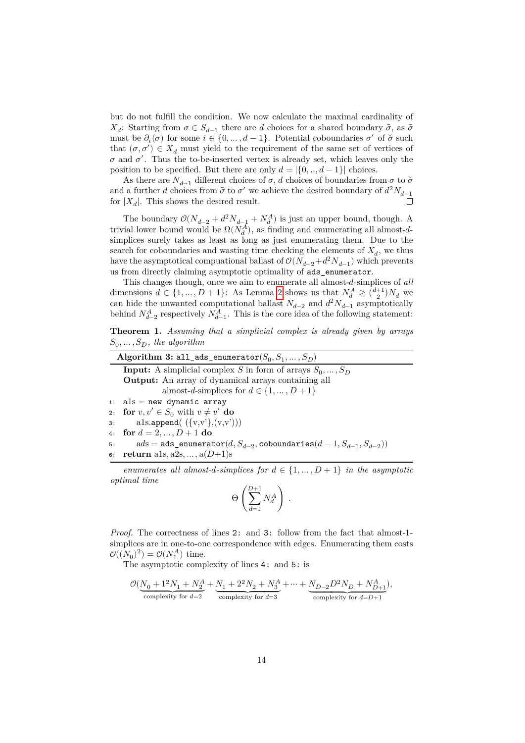but do not fulfill the condition. We now calculate the maximal cardinality of  $X_d$ : Starting from  $\sigma \in S_{d-1}$  there are d choices for a shared boundary  $\breve{\sigma}$ , as  $\breve{\sigma}$ must be  $\partial_i(\sigma)$  for some  $i \in \{0, ..., d-1\}$ . Potential coboundaries  $\sigma'$  of  $\breve{\sigma}$  such that  $(\sigma, \sigma') \in X_d$  must yield to the requirement of the same set of vertices of  $\sigma$  and  $\sigma'$ . Thus the to-be-inserted vertex is already set, which leaves only the position to be specified. But there are only  $d = \{0, ..., d - 1\}$  choices.

As there are  $N_{d-1}$  different choices of  $\sigma$ , d choices of boundaries from  $\sigma$  to  $\check{\sigma}$ and a further  $d$  choices from  $\breve{\sigma}$  to  $\sigma'$  we achieve the desired boundary of  $d^2N_{d-1}$ for  $|X_d|$ . This shows the desired result.

The boundary  $\mathcal{O}(N_{d-2} + d^2 N_{d-1} + N_d^A)$  is just an upper bound, though. A trivial lower bound would be  $\Omega(N_d^A)$ , as finding and enumerating all almost-dsimplices surely takes as least as long as just enumerating them. Due to the search for coboundaries and wasting time checking the elements of  $X_d$ , we thus have the asymptotical compuational ballast of  $\mathcal{O}(N_{d-2}+d^2N_{d-1})$  which prevents us from directly claiming asymptotic optimality of ads\_enumerator.

This changes though, once we aim to enumerate all almost-d-simplices of all dimensions  $d \in \{1, ..., D+1\}$ : As Lemma [2](#page-7-1) shows us that  $N_d^A \geq {\binom{d+1}{2}} N_d$  we can hide the unwanted computational ballast  $N_{d-2}$  and  $d^2 N_{d-1}$  asymptotically behind  $N_{d-2}^A$  respectively  $N_{d-1}^A$ . This is the core idea of the following statement:

**Theorem 1.** *Assuming that a simplicial complex is already given by arrays*  $S_0, \ldots, S_D$ , the algorithm

| Algorithm 3: all_ads_enumerator( $S_0, S_1, , S_D$ )                         |
|------------------------------------------------------------------------------|
| <b>Input:</b> A simplicial complex S in form of arrays $S_0, \ldots, S_D$    |
| <b>Output:</b> An array of dynamical arrays containing all                   |
| almost-d-simplices for $d \in \{1, , D+1\}$                                  |
| 1: $a1s = new dynamic array$                                                 |
| 2: for $v, v' \in S_0$ with $v \neq v'$ do                                   |
| 3: als.append $(\{\mathbf{v}, \mathbf{v}\}, (\mathbf{v}, \mathbf{v}'))$      |
| 4: for $d = 2, , D + 1$ do                                                   |
| 5: $ads = ads\_enumerate(d, S_{d-2}, coboundaries(d-1, S_{d-1}, S_{d-2}))$   |
| 6: <b>return</b> als, a2s, , $a(D+1)s$                                       |
| enumerates all almost-d-simplices for $d \in \{1, , D+1\}$ in the asymptotic |
| <i>optimal time</i>                                                          |
| $\Theta\left(\sum_{d}^{D+1} N_d^A\right)$ .                                  |

$$
\Theta\left(\sum_{d=1}^N N_d^A\right) \ .
$$

*Proof.* The correctness of lines 2: and 3: follow from the fact that almost-1 simplices are in one-to-one correspondence with edges. Enumerating them costs  $\mathcal{O}((N_0)^2) = \mathcal{O}(N_1^A)$  time.

The asymptotic complexity of lines 4: and 5: is

$$
\mathcal{O}(\underbrace{N_0+1^2N_1+N_2^A}_{\text{complexity for $d=2$}}+\underbrace{N_1+2^2N_2+N_3^A}_{\text{complexity for $d=3$}}+\cdots+\underbrace{N_{D-2}D^2N_D+N_{D+1}^A}_{\text{complexity for $d=D+1$}}),
$$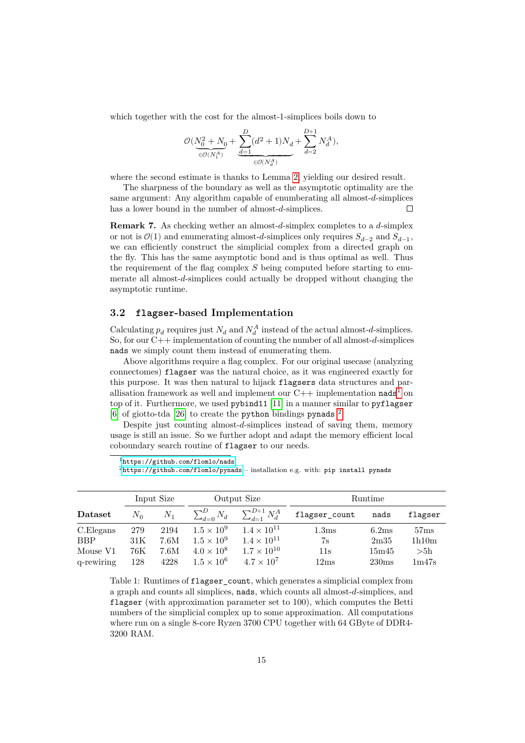which together with the cost for the almost-1-simplices boils down to

$$
\mathcal{O}(\underbrace{N_0^2 + N_0}_\infty + \underbrace{\sum_{d=1}^D (d^2+1) N_d}_{\in \mathcal{O}(N_d^A)} + \sum_{d=2}^{D+1} N_d^A),
$$

where the second estimate is thanks to Lemma [2,](#page-7-1) yielding our desired result.

The sharpness of the boundary as well as the asymptotic optimality are the same argument: Any algorithm capable of enumberating all almost- $d$ -simplices has a lower bound in the number of almost- $d$ -simplices. П

**Remark 7.** As checking wether an almost- $d$ -simplex completes to a  $d$ -simplex or not is  $\mathcal{O}(1)$  and enumerating almost-d-simplices only requires  $S_{d-2}$  and  $S_{d-1}$ , we can efficiently construct the simplicial complex from a directed graph on the fly. This has the same asymptotic bond and is thus optimal as well. Thus the requirement of the flag complex  $S$  being computed before starting to enumerate all almost-d-simplices could actually be dropped without changing the asymptotic runtime.

## <span id="page-14-0"></span>**3.2 flagser-based Implementation**

Calculating  $p_d$  requires just  $N_d$  and  $N_d^A$  instead of the actual almost-d-simplices. So, for our  $C++$  implementation of counting the number of all almost- $d$ -simplices nads we simply count them instead of enumerating them.

Above algorithms require a flag complex. For our original usecase (analyzing connectomes) flagser was the natural choice, as it was engineered exactly for this purpose. It was then natural to hijack flagsers data structures and parallisation framework as well and implement our  $C++$  implementation nads<sup>[1](#page-14-1)</sup> on top of it. Furthermore, we used pybind11 [\[11\]](#page-24-5) in a manner similar to pyflagser [\[6\]](#page-23-5) of giotto-tda [\[26\]](#page-25-4) to create the python bindings pynads<sup>[2](#page-14-2)</sup>.

Despite just counting almost- $d$ -simplices instead of saving them, memory usage is still an issue. So we further adopt and adapt the memory efficient local coboundary search routine of flagser to our needs.

<span id="page-14-1"></span><sup>1</sup><https://github.com/flomlo/nads>

<span id="page-14-2"></span><sup>2</sup><https://github.com/flomlo/pynads> – installation e.g. with: pip install pynads

|            | Input Size |       | Output Size          |                          | Runtime           |       |         |
|------------|------------|-------|----------------------|--------------------------|-------------------|-------|---------|
| Dataset    | $N_0$      | $N_1$ | $\sum_{d=0}^{D} N_d$ | $\sum_{d=1}^{D+1} N_d^A$ | flagser_count     | nads  | flagser |
| C.Elegans  | 279        | 2194  | $1.5 \times 10^{9}$  | $1.4 \times 10^{11}$     | 1.3 <sub>ms</sub> | 6.2ms | 57ms    |
| <b>BBP</b> | 31K        | 7.6M  | $1.5 \times 10^9$    | $1.4 \times 10^{11}$     | 7s                | 2m35  | 1h10m   |
| Mouse V1   | 76K        | 7.6M  | $4.0 \times 10^{8}$  | $1.7 \times 10^{10}$     | $11\mathrm{s}$    | 15m45 | >5h     |
| q-rewiring | 128        | 4228  | $1.5 \times 10^6$    | $4.7 \times 10^7$        | 12ms              | 230ms | 1m47s   |

<span id="page-14-3"></span>Table 1: Runtimes of flagser\_count, which generates a simplicial complex from a graph and counts all simplices, nads, which counts all almost-d-simplices, and flagser (with approximation parameter set to 100), which computes the Betti numbers of the simplicial complex up to some approximation. All computations where run on a single 8-core Ryzen 3700 CPU together with 64 GByte of DDR4- 3200 RAM.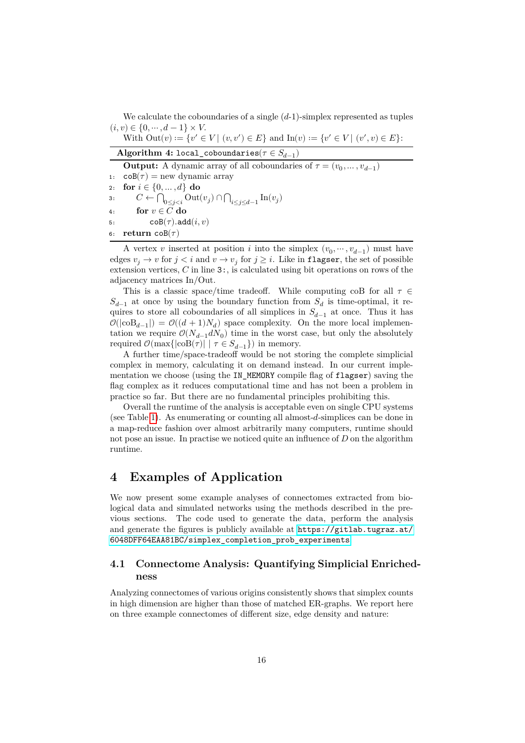We calculate the coboundaries of a single  $(d-1)$ -simplex represented as tuples  $(i, v) \in \{0, \cdots, d - 1\} \times V.$ 

| With $Out(v) := \{v' \in V \mid (v, v') \in E\}$ and $In(v) := \{v' \in V \mid (v', v) \in E\}$ .                                                                                                                                                                                                                 |
|-------------------------------------------------------------------------------------------------------------------------------------------------------------------------------------------------------------------------------------------------------------------------------------------------------------------|
| Algorithm 4: local_coboundaries( $\tau \in S_{d-1}$ )                                                                                                                                                                                                                                                             |
| $\bigcap_{i=1}^n$ $\bigcup_{i=1}^n$ $\bigcap_{i=1}^n$ $\bigcap_{i=1}^n$ $\bigcap_{i=1}^n$ $\bigcap_{i=1}^n$ $\bigcap_{i=1}^n$ $\bigcap_{i=1}^n$ $\bigcap_{i=1}^n$ $\bigcap_{i=1}^n$ $\bigcap_{i=1}^n$ $\bigcap_{i=1}^n$ $\bigcap_{i=1}^n$ $\bigcap_{i=1}^n$ $\bigcap_{i=1}^n$ $\bigcap_{i=1}^n$ $\bigcap_{i=1}^n$ |

**Output:** A dynamic array of all coboundaries of  $\tau = (v_0, \dots, v_{d-1})$ 1:  $\cos(\tau) = \text{new dynamic array}$ 2: **for**  $i \in \{0, ..., d\}$  **do** 3:  $C \leftarrow \bigcap_{0 \leq j < i} \text{Out}(v_j) \cap \bigcap_{i \leq j \leq d-1} \text{In}(v_j)$ 4: **for**  $v \in C$  do 5:  $\mathsf{coB}(\tau) \cdot \mathsf{add}(i, v)$ 

6: **return**  $\text{coB}(\tau)$ 

A vertex v inserted at position *i* into the simplex  $(v_0, \dots, v_{d-1})$  must have edges  $v_j \to v$  for  $j < i$  and  $v \to v_j$  for  $j \geq i$ . Like in flagser, the set of possible extension vertices,  $C$  in line  $3:$ , is calculated using bit operations on rows of the adjacency matrices In/Out.

This is a classic space/time tradeoff. While computing coB for all  $\tau \in$  $S_{d-1}$  at once by using the boundary function from  $S_d$  is time-optimal, it requires to store all coboundaries of all simplices in  $S_{d-1}$  at once. Thus it has  $\mathcal{O}(|\text{coB}_{d-1}|) = \mathcal{O}((d+1)N_d)$  space complexity. On the more local implementation we require  $\mathcal{O}(N_{d-1}dN_0)$  time in the worst case, but only the absolutely required  $\mathcal{O}(\max\{|\text{coB}(\tau)| \mid \tau \in S_{d-1}\})$  in memory.

A further time/space-tradeoff would be not storing the complete simplicial complex in memory, calculating it on demand instead. In our current implementation we choose (using the IN\_MEMORY compile flag of flagser) saving the flag complex as it reduces computational time and has not been a problem in practice so far. But there are no fundamental principles prohibiting this.

Overall the runtime of the analysis is acceptable even on single CPU systems (see Table [1\)](#page-14-3). As enumerating or counting all almost- $d$ -simplices can be done in a map-reduce fashion over almost arbitrarily many computers, runtime should not pose an issue. In practise we noticed quite an influence of  $D$  on the algorithm runtime.

# <span id="page-15-0"></span>**4 Examples of Application**

We now present some example analyses of connectomes extracted from biological data and simulated networks using the methods described in the previous sections. The code used to generate the data, perform the analysis and generate the figures is publicly available at [https://gitlab.tugraz.at/](https://gitlab.tugraz.at/6048DFF64EAA81BC/simplex_completion_prob_experiments) [6048DFF64EAA81BC/simplex\\_completion\\_prob\\_experiments](https://gitlab.tugraz.at/6048DFF64EAA81BC/simplex_completion_prob_experiments).

## **4.1 Connectome Analysis: Quantifying Simplicial Enrichedness**

Analyzing connectomes of various origins consistently shows that simplex counts in high dimension are higher than those of matched ER-graphs. We report here on three example connectomes of different size, edge density and nature: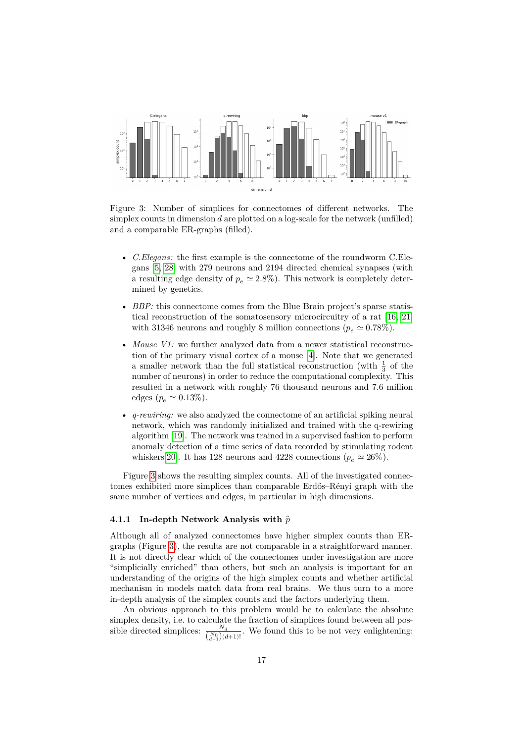

<span id="page-16-0"></span>Figure 3: Number of simplices for connectomes of different networks. The simplex counts in dimension  $d$  are plotted on a log-scale for the network (unfilled) and a comparable ER-graphs (filled).

- *C.Elegans:* the first example is the connectome of the roundworm C.Elegans [\[5,](#page-23-2) [28\]](#page-25-3) with 279 neurons and 2194 directed chemical synapses (with a resulting edge density of  $p_e \simeq 2.8\%$ ). This network is completely determined by genetics.
- *BBP:* this connectome comes from the Blue Brain project's sparse statistical reconstruction of the somatosensory microcircuitry of a rat [\[16,](#page-24-0) [21\]](#page-24-4) with 31346 neurons and roughly 8 million connections ( $p_e \approx 0.78\%$ ).
- *Mouse V1:* we further analyzed data from a newer statistical reconstruction of the primary visual cortex of a mouse [\[4\]](#page-23-1). Note that we generated a smaller network than the full statistical reconstruction (with  $\frac{1}{3}$  of the number of neurons) in order to reduce the computational complexity. This resulted in a network with roughly 76 thousand neurons and 7.6 million edges  $(p_e \simeq 0.13\%).$
- *q-rewiring:* we also analyzed the connectome of an artificial spiking neural network, which was randomly initialized and trained with the q-rewiring algorithm [\[19\]](#page-24-6). The network was trained in a supervised fashion to perform anomaly detection of a time series of data recorded by stimulating rodent whiskers[\[20\]](#page-24-7). It has 128 neurons and 4228 connections ( $p_e \approx 26\%$ ).

Figure [3](#page-16-0) shows the resulting simplex counts. All of the investigated connectomes exhibited more simplices than comparable Erdős–Rényi graph with the same number of vertices and edges, in particular in high dimensions.

#### **4.1.1 In-depth Network Analysis with** ̂

Although all of analyzed connectomes have higher simplex counts than ERgraphs (Figure [3\)](#page-16-0), the results are not comparable in a straightforward manner. It is not directly clear which of the connectomes under investigation are more "simplicially enriched" than others, but such an analysis is important for an understanding of the origins of the high simplex counts and whether artificial mechanism in models match data from real brains. We thus turn to a more in-depth analysis of the simplex counts and the factors underlying them.

An obvious approach to this problem would be to calculate the absolute simplex density, i.e. to calculate the fraction of simplices found between all possible directed simplices:  $\frac{N_d}{\binom{N_0}{d+1}(d+1)!}$ . We found this to be not very enlightening: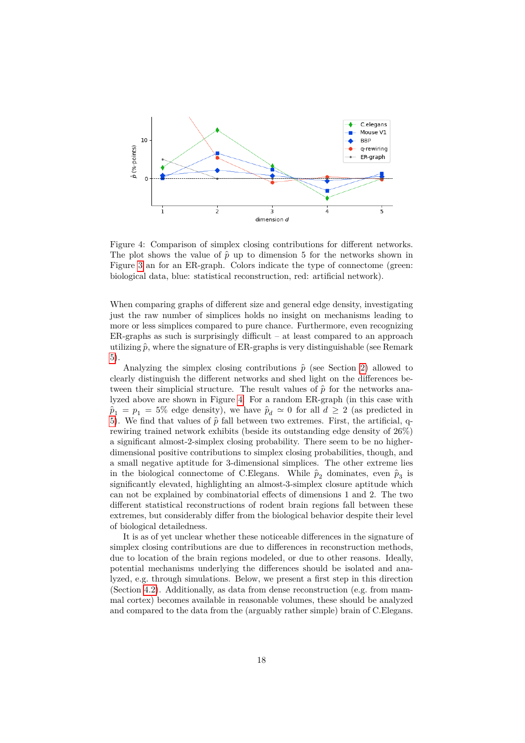

<span id="page-17-0"></span>Figure 4: Comparison of simplex closing contributions for different networks. The plot shows the value of  $\hat{p}$  up to dimension 5 for the networks shown in Figure [3](#page-16-0) an for an ER-graph. Colors indicate the type of connectome (green: biological data, blue: statistical reconstruction, red: artificial network).

When comparing graphs of different size and general edge density, investigating just the raw number of simplices holds no insight on mechanisms leading to more or less simplices compared to pure chance. Furthermore, even recognizing  $ER$ -graphs as such is surprisingly difficult – at least compared to an approach utilizing  $\hat{p}$ , where the signature of ER-graphs is very distinguishable (see Remark [5\)](#page-9-1).

Analyzing the simplex closing contributions  $\hat{p}$  (see Section [2\)](#page-3-1) allowed to clearly distinguish the different networks and shed light on the differences between their simplicial structure. The result values of  $\hat{p}$  for the networks analyzed above are shown in Figure [4.](#page-17-0) For a random ER-graph (in this case with  $\hat{p}_1 = p_1 = 5\%$  edge density), we have  $\hat{p}_d \simeq 0$  for all  $d \geq 2$  (as predicted in [5\)](#page-9-1). We find that values of  $\hat{p}$  fall between two extremes. First, the artificial, qrewiring trained network exhibits (beside its outstanding edge density of 26%) a significant almost-2-simplex closing probability. There seem to be no higherdimensional positive contributions to simplex closing probabilities, though, and a small negative aptitude for 3-dimensional simplices. The other extreme lies in the biological connectome of C.Elegans. While  $\hat{p}_2$  dominates, even  $\hat{p}_3$  is significantly elevated, highlighting an almost-3-simplex closure aptitude which can not be explained by combinatorial effects of dimensions 1 and 2. The two different statistical reconstructions of rodent brain regions fall between these extremes, but considerably differ from the biological behavior despite their level of biological detailedness.

It is as of yet unclear whether these noticeable differences in the signature of simplex closing contributions are due to differences in reconstruction methods, due to location of the brain regions modeled, or due to other reasons. Ideally, potential mechanisms underlying the differences should be isolated and analyzed, e.g. through simulations. Below, we present a first step in this direction (Section [4.2\)](#page-19-1). Additionally, as data from dense reconstruction (e.g. from mammal cortex) becomes available in reasonable volumes, these should be analyzed and compared to the data from the (arguably rather simple) brain of C.Elegans.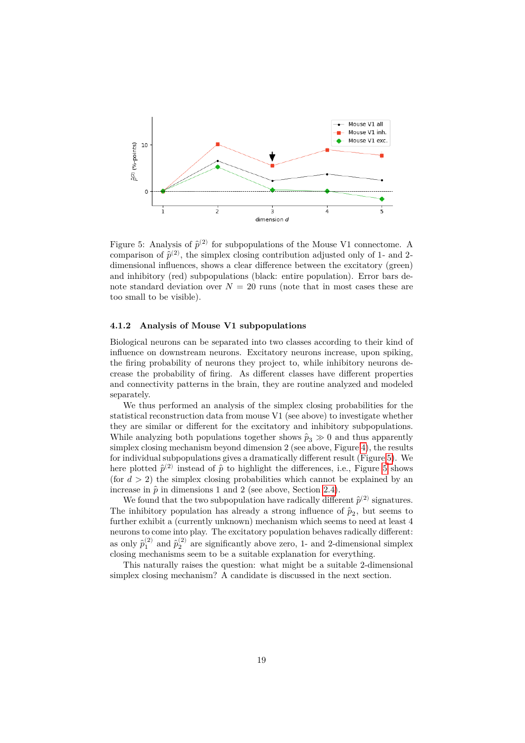

<span id="page-18-1"></span>Figure 5: Analysis of  $\hat{p}^{(2)}$  for subpopulations of the Mouse V1 connectome. A comparison of  $\hat{p}^{(2)}$ , the simplex closing contribution adjusted only of 1- and 2dimensional influences, shows a clear difference between the excitatory (green) and inhibitory (red) subpopulations (black: entire population). Error bars denote standard deviation over  $N = 20$  runs (note that in most cases these are too small to be visible).

#### <span id="page-18-0"></span>**4.1.2 Analysis of Mouse V1 subpopulations**

Biological neurons can be separated into two classes according to their kind of influence on downstream neurons. Excitatory neurons increase, upon spiking, the firing probability of neurons they project to, while inhibitory neurons decrease the probability of firing. As different classes have different properties and connectivity patterns in the brain, they are routine analyzed and modeled separately.

We thus performed an analysis of the simplex closing probabilities for the statistical reconstruction data from mouse V1 (see above) to investigate whether they are similar or different for the excitatory and inhibitory subpopulations. While analyzing both populations together shows  $\hat{p}_3 \gg 0$  and thus apparently simplex closing mechanism beyond dimension 2 (see above, Figure [4\)](#page-17-0), the results for individual subpopulations gives a dramatically different result (Figure [5\)](#page-18-1). We here plotted  $\hat{p}^{(2)}$  instead of  $\hat{p}$  to highlight the differences, i.e., Figure [5](#page-18-1) shows (for  $d > 2$ ) the simplex closing probabilities which cannot be explained by an increase in  $\hat{p}$  in dimensions 1 and 2 (see above, Section [2.4\)](#page-9-2).

We found that the two subpopulation have radically different  $\hat{p}^{(2)}$  signatures. The inhibitory population has already a strong influence of  $\hat{p}_2$ , but seems to further exhibit a (currently unknown) mechanism which seems to need at least 4 neurons to come into play. The excitatory population behaves radically different: as only  $\hat{p}_1^{(2)}$  and  $\hat{p}_2^{(2)}$  are significantly above zero, 1- and 2-dimensional simplex closing mechanisms seem to be a suitable explanation for everything.

This naturally raises the question: what might be a suitable 2-dimensional simplex closing mechanism? A candidate is discussed in the next section.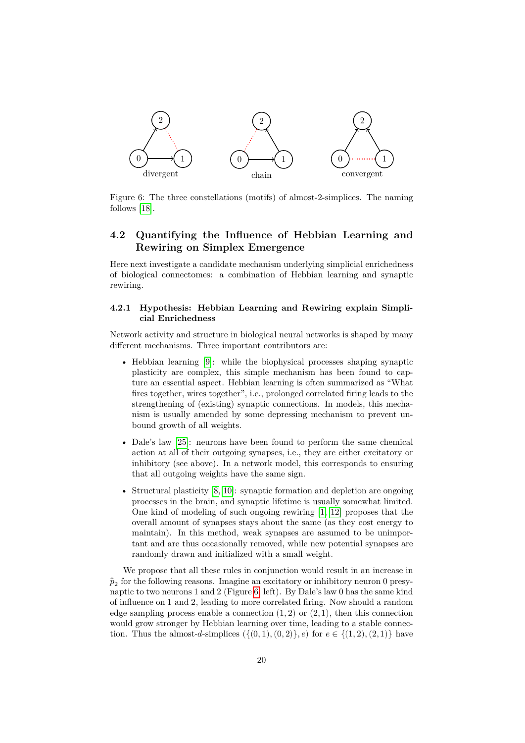

<span id="page-19-2"></span>Figure 6: The three constellations (motifs) of almost-2-simplices. The naming follows [\[18\]](#page-24-8).

## <span id="page-19-1"></span>**4.2 Quantifying the Influence of Hebbian Learning and Rewiring on Simplex Emergence**

Here next investigate a candidate mechanism underlying simplicial enrichedness of biological connectomes: a combination of Hebbian learning and synaptic rewiring.

### <span id="page-19-0"></span>**4.2.1 Hypothesis: Hebbian Learning and Rewiring explain Simplicial Enrichedness**

Network activity and structure in biological neural networks is shaped by many different mechanisms. Three important contributors are:

- Hebbian learning [\[9\]](#page-24-9): while the biophysical processes shaping synaptic plasticity are complex, this simple mechanism has been found to capture an essential aspect. Hebbian learning is often summarized as "What fires together, wires together", i.e., prolonged correlated firing leads to the strengthening of (existing) synaptic connections. In models, this mechanism is usually amended by some depressing mechanism to prevent unbound growth of all weights.
- Dale's law [\[25\]](#page-25-5): neurons have been found to perform the same chemical action at all of their outgoing synapses, i.e., they are either excitatory or inhibitory (see above). In a network model, this corresponds to ensuring that all outgoing weights have the same sign.
- Structural plasticity [\[8,](#page-24-10) [10\]](#page-24-11): synaptic formation and depletion are ongoing processes in the brain, and synaptic lifetime is usually somewhat limited. One kind of modeling of such ongoing rewiring [\[1,](#page-23-3) [12\]](#page-24-12) proposes that the overall amount of synapses stays about the same (as they cost energy to maintain). In this method, weak synapses are assumed to be unimportant and are thus occasionally removed, while new potential synapses are randomly drawn and initialized with a small weight.

We propose that all these rules in conjunction would result in an increase in  $\hat{p}_2$  for the following reasons. Imagine an excitatory or inhibitory neuron 0 presynaptic to two neurons 1 and 2 (Figure [6,](#page-19-2) left). By Dale's law 0 has the same kind of influence on 1 and 2, leading to more correlated firing. Now should a random edge sampling process enable a connection  $(1, 2)$  or  $(2, 1)$ , then this connection would grow stronger by Hebbian learning over time, leading to a stable connection. Thus the almost-d-simplices  $({0, 1), (0, 2)}$ ,  $e)$  for  $e \in {(1, 2), (2, 1)}$  have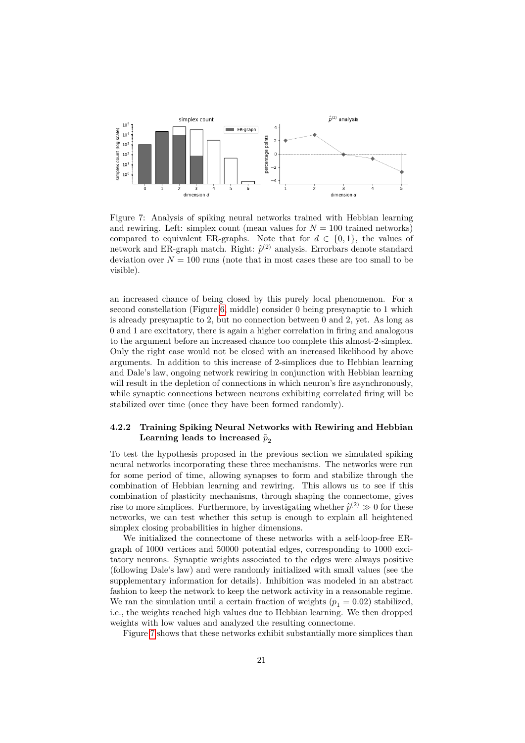

<span id="page-20-0"></span>Figure 7: Analysis of spiking neural networks trained with Hebbian learning and rewiring. Left: simplex count (mean values for  $N = 100$  trained networks) compared to equivalent ER-graphs. Note that for  $d \in \{0,1\}$ , the values of network and ER-graph match. Right:  $\hat{p}^{(2)}$  analysis. Errorbars denote standard deviation over  $N = 100$  runs (note that in most cases these are too small to be visible).

an increased chance of being closed by this purely local phenomenon. For a second constellation (Figure [6,](#page-19-2) middle) consider 0 being presynaptic to 1 which is already presynaptic to 2, but no connection between 0 and 2, yet. As long as 0 and 1 are excitatory, there is again a higher correlation in firing and analogous to the argument before an increased chance too complete this almost-2-simplex. Only the right case would not be closed with an increased likelihood by above arguments. In addition to this increase of 2-simplices due to Hebbian learning and Dale's law, ongoing network rewiring in conjunction with Hebbian learning will result in the depletion of connections in which neuron's fire asynchronously, while synaptic connections between neurons exhibiting correlated firing will be stabilized over time (once they have been formed randomly).

## **4.2.2 Training Spiking Neural Networks with Rewiring and Hebbian**  $\rm{Learning \ leads \ to \ increased} \ \hat{p}_2$

To test the hypothesis proposed in the previous section we simulated spiking neural networks incorporating these three mechanisms. The networks were run for some period of time, allowing synapses to form and stabilize through the combination of Hebbian learning and rewiring. This allows us to see if this combination of plasticity mechanisms, through shaping the connectome, gives rise to more simplices. Furthermore, by investigating whether  $\hat{p}^{(2)} \gg 0$  for these networks, we can test whether this setup is enough to explain all heightened simplex closing probabilities in higher dimensions.

We initialized the connectome of these networks with a self-loop-free ERgraph of 1000 vertices and 50000 potential edges, corresponding to 1000 excitatory neurons. Synaptic weights associated to the edges were always positive (following Dale's law) and were randomly initialized with small values (see the supplementary information for details). Inhibition was modeled in an abstract fashion to keep the network to keep the network activity in a reasonable regime. We ran the simulation until a certain fraction of weights  $(p_1 = 0.02)$  stabilized, i.e., the weights reached high values due to Hebbian learning. We then dropped weights with low values and analyzed the resulting connectome.

Figure [7](#page-20-0) shows that these networks exhibit substantially more simplices than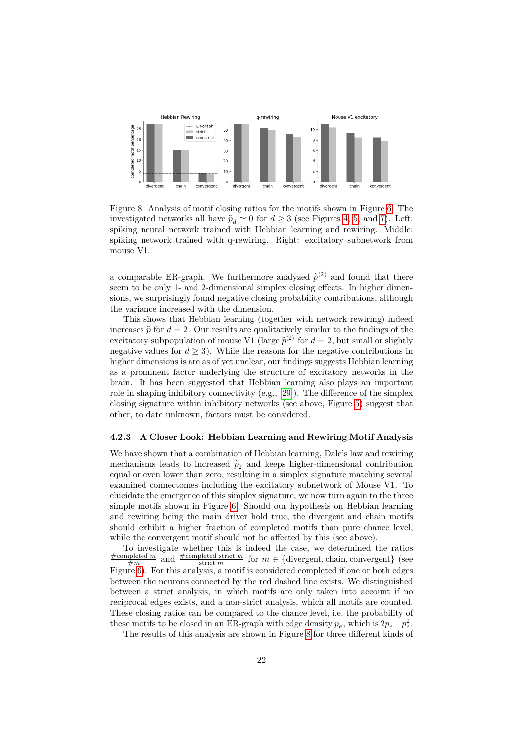

<span id="page-21-0"></span>Figure 8: Analysis of motif closing ratios for the motifs shown in Figure [6.](#page-19-2) The investigated networks all have  $\hat{p}_d \simeq 0$  for  $d \geq 3$  (see Figures [4,](#page-17-0) [5,](#page-18-1) and [7\)](#page-20-0). Left: spiking neural network trained with Hebbian learning and rewiring. Middle: spiking network trained with q-rewiring. Right: excitatory subnetwork from mouse V1.

a comparable ER-graph. We furthermore analyzed  $\hat{p}^{(2)}$  and found that there seem to be only 1- and 2-dimensional simplex closing effects. In higher dimensions, we surprisingly found negative closing probability contributions, although the variance increased with the dimension.

This shows that Hebbian learning (together with network rewiring) indeed increases  $\hat{p}$  for  $d = 2$ . Our results are qualitatively similar to the findings of the excitatory subpopulation of mouse V1 (large  $\hat{p}^{(2)}$  for  $d=2$ , but small or slightly negative values for  $d \geq 3$ . While the reasons for the negative contributions in higher dimensions is are as of yet unclear, our findings suggests Hebbian learning as a prominent factor underlying the structure of excitatory networks in the brain. It has been suggested that Hebbian learning also plays an important role in shaping inhibitory connectivity  $(e.g., [29])$  $(e.g., [29])$  $(e.g., [29])$ . The difference of the simplex closing signature within inhibitory networks (see above, Figure [5\)](#page-18-1) suggest that other, to date unknown, factors must be considered.

#### **4.2.3 A Closer Look: Hebbian Learning and Rewiring Motif Analysis**

We have shown that a combination of Hebbian learning, Dale's law and rewiring mechanisms leads to increased  $\hat{p}_2$  and keeps higher-dimensional contribution equal or even lower than zero, resulting in a simplex signature matching several examined connectomes including the excitatory subnetwork of Mouse V1. To elucidate the emergence of this simplex signature, we now turn again to the three simple motifs shown in Figure [6.](#page-19-2) Should our hypothesis on Hebbian learning and rewiring being the main driver hold true, the divergent and chain motifs should exhibit a higher fraction of completed motifs than pure chance level, while the convergent motif should not be affected by this (see above).

To investigate whether this is indeed the case, we determined the ratios  $\frac{\text{\#completed } m}{\text{\#} m}$  and  $\frac{\text{\#completed strict } m}{\text{strict } m}$  for  $m \in \{\text{divergent}, \text{chain}, \text{convergent}\}\$  (see Figure [6\)](#page-19-2). For this analysis, a motif is considered completed if one or both edges between the neurons connected by the red dashed line exists. We distinguished between a strict analysis, in which motifs are only taken into account if no reciprocal edges exists, and a non-strict analysis, which all motifs are counted. These closing ratios can be compared to the chance level, i.e. the probability of these motifs to be closed in an ER-graph with edge density  $p_e$ , which is  $2p_e - p_e^2$ .

The results of this analysis are shown in Figure [8](#page-21-0) for three different kinds of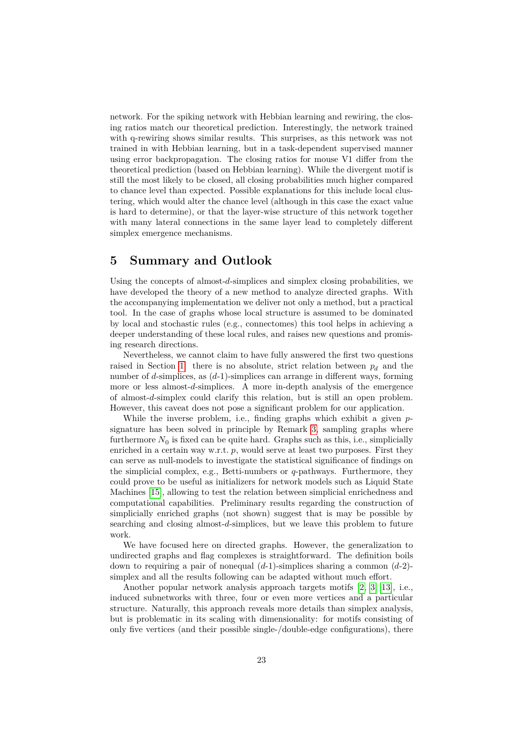network. For the spiking network with Hebbian learning and rewiring, the closing ratios match our theoretical prediction. Interestingly, the network trained with q-rewiring shows similar results. This surprises, as this network was not trained in with Hebbian learning, but in a task-dependent supervised manner using error backpropagation. The closing ratios for mouse V1 differ from the theoretical prediction (based on Hebbian learning). While the divergent motif is still the most likely to be closed, all closing probabilities much higher compared to chance level than expected. Possible explanations for this include local clustering, which would alter the chance level (although in this case the exact value is hard to determine), or that the layer-wise structure of this network together with many lateral connections in the same layer lead to completely different simplex emergence mechanisms.

# **5 Summary and Outlook**

Using the concepts of almost- $d$ -simplices and simplex closing probabilities, we have developed the theory of a new method to analyze directed graphs. With the accompanying implementation we deliver not only a method, but a practical tool. In the case of graphs whose local structure is assumed to be dominated by local and stochastic rules (e.g., connectomes) this tool helps in achieving a deeper understanding of these local rules, and raises new questions and promising research directions.

Nevertheless, we cannot claim to have fully answered the first two questions raised in Section [1:](#page-0-0) there is no absolute, strict relation between  $p_d$  and the number of d-simplices, as  $(d-1)$ -simplices can arrange in different ways, forming more or less almost- $d$ -simplices. A more in-depth analysis of the emergence of almost-d-simplex could clarify this relation, but is still an open problem. However, this caveat does not pose a significant problem for our application.

While the inverse problem, i.e., finding graphs which exhibit a given  $p$ signature has been solved in principle by Remark [3,](#page-8-2) sampling graphs where furthermore  $N_0$  is fixed can be quite hard. Graphs such as this, i.e., simplicially enriched in a certain way w.r.t.  $p$ , would serve at least two purposes. First they can serve as null-models to investigate the statistical significance of findings on the simplicial complex, e.g., Betti-numbers or  $q$ -pathways. Furthermore, they could prove to be useful as initializers for network models such as Liquid State Machines [\[15\]](#page-24-13), allowing to test the relation between simplicial enrichedness and computational capabilities. Preliminary results regarding the construction of simplicially enriched graphs (not shown) suggest that is may be possible by searching and closing almost-d-simplices, but we leave this problem to future work.

We have focused here on directed graphs. However, the generalization to undirected graphs and flag complexes is straightforward. The definition boils down to requiring a pair of nonequal  $(d-1)$ -simplices sharing a common  $(d-2)$ simplex and all the results following can be adapted without much effort.

Another popular network analysis approach targets motifs [\[2,](#page-23-6) [3,](#page-23-4) [13\]](#page-24-14), i.e., induced subnetworks with three, four or even more vertices and a particular structure. Naturally, this approach reveals more details than simplex analysis, but is problematic in its scaling with dimensionality: for motifs consisting of only five vertices (and their possible single-/double-edge configurations), there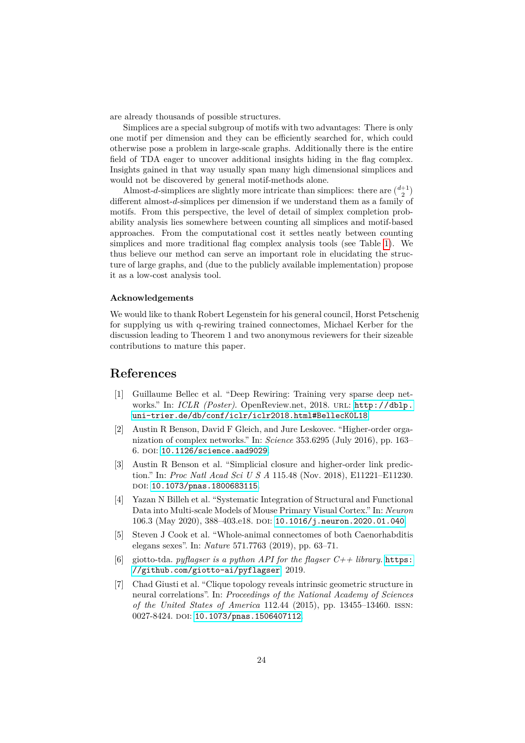are already thousands of possible structures.

Simplices are a special subgroup of motifs with two advantages: There is only one motif per dimension and they can be efficiently searched for, which could otherwise pose a problem in large-scale graphs. Additionally there is the entire field of TDA eager to uncover additional insights hiding in the flag complex. Insights gained in that way usually span many high dimensional simplices and would not be discovered by general motif-methods alone.

Almost-d-simplices are slightly more intricate than simplices: there are  $\binom{d+1}{2}$ different almost- $d$ -simplices per dimension if we understand them as a family of motifs. From this perspective, the level of detail of simplex completion probability analysis lies somewhere between counting all simplices and motif-based approaches. From the computational cost it settles neatly between counting simplices and more traditional flag complex analysis tools (see Table [1\)](#page-14-3). We thus believe our method can serve an important role in elucidating the structure of large graphs, and (due to the publicly available implementation) propose it as a low-cost analysis tool.

#### **Acknowledgements**

We would like to thank Robert Legenstein for his general council, Horst Petschenig for supplying us with q-rewiring trained connectomes, Michael Kerber for the discussion leading to Theorem 1 and two anonymous reviewers for their sizeable contributions to mature this paper.

# **References**

- <span id="page-23-3"></span>[1] Guillaume Bellec et al. "Deep Rewiring: Training very sparse deep networks." In: *ICLR (Poster)*. OpenReview.net, 2018. url: [http://dblp.](http://dblp.uni-trier.de/db/conf/iclr/iclr2018.html#BellecK0L18) [uni-trier.de/db/conf/iclr/iclr2018.html#BellecK0L18](http://dblp.uni-trier.de/db/conf/iclr/iclr2018.html#BellecK0L18).
- <span id="page-23-6"></span>[2] Austin R Benson, David F Gleich, and Jure Leskovec. "Higher-order organization of complex networks." In: *Science* 353.6295 (July 2016), pp. 163– 6. doi: [10.1126/science.aad9029](https://doi.org/10.1126/science.aad9029).
- <span id="page-23-4"></span>[3] Austin R Benson et al. "Simplicial closure and higher-order link prediction." In: *Proc Natl Acad Sci U S A* 115.48 (Nov. 2018), E11221–E11230. doi: [10.1073/pnas.1800683115](https://doi.org/10.1073/pnas.1800683115).
- <span id="page-23-1"></span>[4] Yazan N Billeh et al. "Systematic Integration of Structural and Functional Data into Multi-scale Models of Mouse Primary Visual Cortex." In: *Neuron* 106.3 (May 2020), 388-403.e18. DOI: [10.1016/j.neuron.2020.01.040](https://doi.org/10.1016/j.neuron.2020.01.040).
- <span id="page-23-2"></span>[5] Steven J Cook et al. "Whole-animal connectomes of both Caenorhabditis elegans sexes". In: *Nature* 571.7763 (2019), pp. 63–71.
- <span id="page-23-5"></span>[6] giotto-tda. *pyflagser is a python API for the flagser*  $C++$  *library*. **[https:](https://github.com/giotto-ai/pyflagser)** [//github.com/giotto-ai/pyflagser](https://github.com/giotto-ai/pyflagser). 2019.
- <span id="page-23-0"></span>[7] Chad Giusti et al. "Clique topology reveals intrinsic geometric structure in neural correlations". In: *Proceedings of the National Academy of Sciences of the United States of America* 112.44 (2015), pp. 13455–13460. issn: 0027-8424. DOI: [10.1073/pnas.1506407112](https://doi.org/10.1073/pnas.1506407112).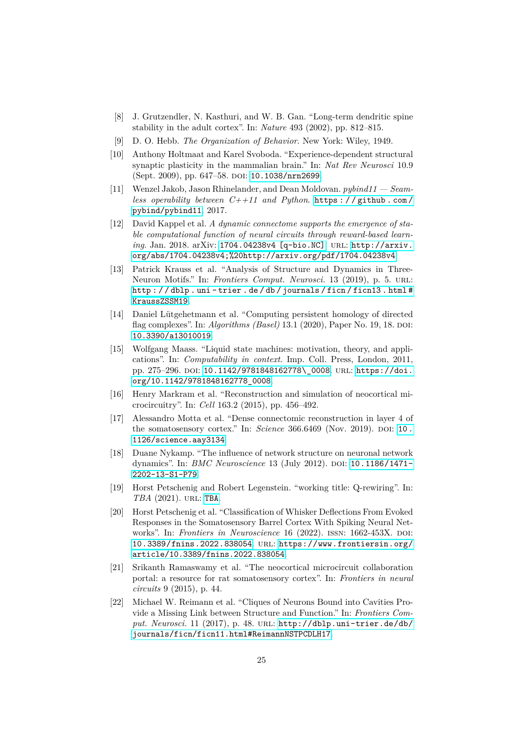- <span id="page-24-10"></span>[8] J. Grutzendler, N. Kasthuri, and W. B. Gan. "Long-term dendritic spine stability in the adult cortex". In: *Nature* 493 (2002), pp. 812–815.
- <span id="page-24-9"></span>[9] D. O. Hebb. *The Organization of Behavior*. New York: Wiley, 1949.
- <span id="page-24-11"></span>[10] Anthony Holtmaat and Karel Svoboda. "Experience-dependent structural synaptic plasticity in the mammalian brain." In: *Nat Rev Neurosci* 10.9 (Sept. 2009), pp. 647–58. DOI: [10.1038/nrn2699](https://doi.org/10.1038/nrn2699).
- <span id="page-24-5"></span>[11] Wenzel Jakob, Jason Rhinelander, and Dean Moldovan. *pybind11 — Seamless operability between C++11 and Python*. [https : / / github . com /](https://github.com/pybind/pybind11) [pybind/pybind11](https://github.com/pybind/pybind11). 2017.
- <span id="page-24-12"></span>[12] David Kappel et al. *A dynamic connectome supports the emergence of stable computational function of neural circuits through reward-based learning.* Jan. 2018. arXiv: [1704.04238v4 \[q-bio.NC\]](https://arxiv.org/abs/1704.04238v4). URL: [http://arxiv.](http://arxiv.org/abs/1704.04238v4;%20http://arxiv.org/pdf/1704.04238v4) [org/abs/1704.04238v4;%20http://arxiv.org/pdf/1704.04238v4](http://arxiv.org/abs/1704.04238v4;%20http://arxiv.org/pdf/1704.04238v4).
- <span id="page-24-14"></span>[13] Patrick Krauss et al. "Analysis of Structure and Dynamics in Three-Neuron Motifs." In: *Frontiers Comput. Neurosci.* 13 (2019), p. 5. url: [http : / / dblp . uni - trier . de / db / journals / ficn / ficn13 . html #](http://dblp.uni-trier.de/db/journals/ficn/ficn13.html#KraussZSSM19) [KraussZSSM19](http://dblp.uni-trier.de/db/journals/ficn/ficn13.html#KraussZSSM19).
- <span id="page-24-2"></span>[14] Daniel Lütgehetmann et al. "Computing persistent homology of directed flag complexes". In: *Algorithms (Basel)* 13.1 (2020), Paper No. 19, 18. DOI: [10.3390/a13010019](https://doi.org/10.3390/a13010019).
- <span id="page-24-13"></span>[15] Wolfgang Maass. "Liquid state machines: motivation, theory, and applications". In: *Computability in context*. Imp. Coll. Press, London, 2011, pp. 275-296. doi: [10.1142/9781848162778\\\_0008](https://doi.org/10.1142/9781848162778\_0008). URL: [https://doi.](https://doi.org/10.1142/9781848162778_0008) [org/10.1142/9781848162778\\_0008](https://doi.org/10.1142/9781848162778_0008).
- <span id="page-24-0"></span>[16] Henry Markram et al. "Reconstruction and simulation of neocortical microcircuitry". In: *Cell* 163.2 (2015), pp. 456–492.
- <span id="page-24-1"></span>[17] Alessandro Motta et al. "Dense connectomic reconstruction in layer 4 of the somatosensory cortex." In: *Science* 366.6469 (Nov. 2019). DOI: 10. [1126/science.aay3134](https://doi.org/10.1126/science.aay3134).
- <span id="page-24-8"></span>[18] Duane Nykamp. "The influence of network structure on neuronal network dynamics". In: *BMC Neuroscience* 13 (July 2012). DOI: [10.1186/1471-](https://doi.org/10.1186/1471-2202-13-S1-P79) [2202-13-S1-P79](https://doi.org/10.1186/1471-2202-13-S1-P79).
- <span id="page-24-6"></span>[19] Horst Petschenig and Robert Legenstein. "working title: Q-rewiring". In: *TBA* (2021). url: <TBA>.
- <span id="page-24-7"></span>[20] Horst Petschenig et al. "Classification of Whisker Deflections From Evoked Responses in the Somatosensory Barrel Cortex With Spiking Neural Networks". In: *Frontiers in Neuroscience* 16 (2022). ISSN: 1662-453X. DOI: [10.3389/fnins.2022.838054](https://doi.org/10.3389/fnins.2022.838054). url: [https://www.frontiersin.org/](https://www.frontiersin.org/article/10.3389/fnins.2022.838054) [article/10.3389/fnins.2022.838054](https://www.frontiersin.org/article/10.3389/fnins.2022.838054).
- <span id="page-24-4"></span>[21] Srikanth Ramaswamy et al. "The neocortical microcircuit collaboration portal: a resource for rat somatosensory cortex". In: *Frontiers in neural circuits* 9 (2015), p. 44.
- <span id="page-24-3"></span>[22] Michael W. Reimann et al. "Cliques of Neurons Bound into Cavities Provide a Missing Link between Structure and Function." In: *Frontiers Comput. Neurosci.* 11 (2017), p. 48. url: [http://dblp.uni-trier.de/db/](http://dblp.uni-trier.de/db/journals/ficn/ficn11.html#ReimannNSTPCDLH17) [journals/ficn/ficn11.html#ReimannNSTPCDLH17](http://dblp.uni-trier.de/db/journals/ficn/ficn11.html#ReimannNSTPCDLH17).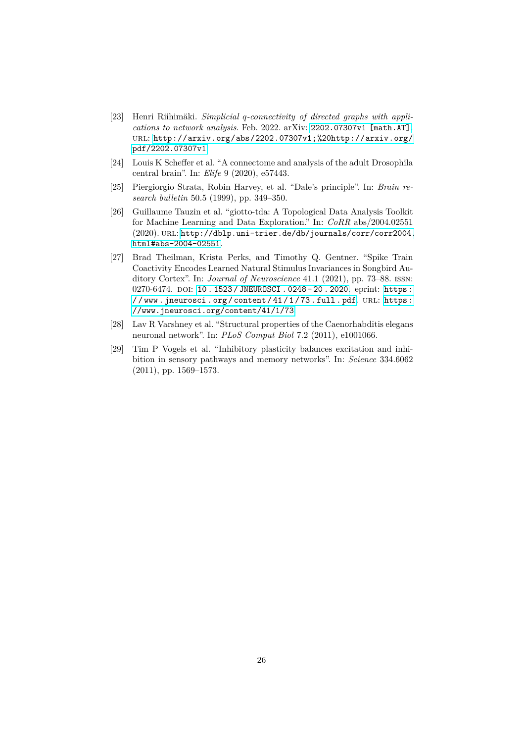- <span id="page-25-2"></span>[23] Henri Riihimäki. Simplicial q-connectivity of directed graphs with appli*cations to network analysis*. Feb. 2022. arXiv: [2202.07307v1 \[math.AT\]](https://arxiv.org/abs/2202.07307v1). url: [http://arxiv.org/abs/2202.07307v1;%20http://arxiv.org/](http://arxiv.org/abs/2202.07307v1;%20http://arxiv.org/pdf/2202.07307v1) [pdf/2202.07307v1](http://arxiv.org/abs/2202.07307v1;%20http://arxiv.org/pdf/2202.07307v1).
- <span id="page-25-1"></span>[24] Louis K Scheffer et al. "A connectome and analysis of the adult Drosophila central brain". In: *Elife* 9 (2020), e57443.
- <span id="page-25-5"></span>[25] Piergiorgio Strata, Robin Harvey, et al. "Dale's principle". In: *Brain research bulletin* 50.5 (1999), pp. 349–350.
- <span id="page-25-4"></span>[26] Guillaume Tauzin et al. "giotto-tda: A Topological Data Analysis Toolkit for Machine Learning and Data Exploration." In: *CoRR* abs/2004.02551 (2020). url: [http://dblp.uni-trier.de/db/journals/corr/corr2004.](http://dblp.uni-trier.de/db/journals/corr/corr2004.html#abs-2004-02551) [html#abs-2004-02551](http://dblp.uni-trier.de/db/journals/corr/corr2004.html#abs-2004-02551).
- <span id="page-25-0"></span>[27] Brad Theilman, Krista Perks, and Timothy Q. Gentner. "Spike Train Coactivity Encodes Learned Natural Stimulus Invariances in Songbird Auditory Cortex". In: *Journal of Neuroscience* 41.1 (2021), pp. 73–88. issn: 0270-6474. DOI: [10 . 1523 / JNEUROSCI . 0248 - 20 . 2020](https://doi.org/10.1523/JNEUROSCI.0248-20.2020). eprint: [https :](https://www.jneurosci.org/content/41/1/73.full.pdf)  $//$  www.jneurosci.org/content/41/1/73.full.pdf.URL:https: [//www.jneurosci.org/content/41/1/73](https://www.jneurosci.org/content/41/1/73).
- <span id="page-25-3"></span>[28] Lav R Varshney et al. "Structural properties of the Caenorhabditis elegans neuronal network". In: *PLoS Comput Biol* 7.2 (2011), e1001066.
- <span id="page-25-6"></span>[29] Tim P Vogels et al. "Inhibitory plasticity balances excitation and inhibition in sensory pathways and memory networks". In: *Science* 334.6062 (2011), pp. 1569–1573.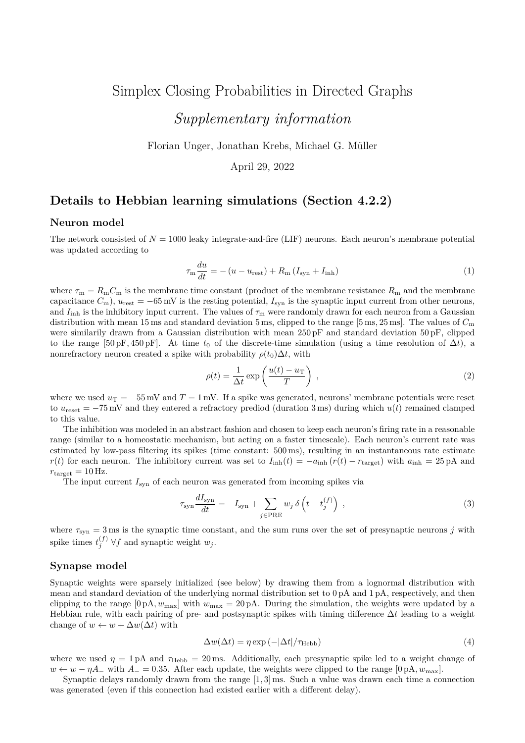# Simplex Closing Probabilities in Directed Graphs *Supplementary information*

Florian Unger, Jonathan Krebs, Michael G. Müller

April 29, 2022

# **Details to Hebbian learning simulations (Section 4.2.2)**

#### **Neuron model**

The network consisted of  $N = 1000$  leaky integrate-and-fire (LIF) neurons. Each neuron's membrane potential was updated according to

$$
\tau_{\rm m} \frac{du}{dt} = -\left(u - u_{\rm rest}\right) + R_{\rm m} \left(I_{\rm syn} + I_{\rm inh}\right) \tag{1}
$$

where  $\tau_m = R_m C_m$  is the membrane time constant (product of the membrane resistance  $R_m$  and the membrane capacitance  $C_m$ ),  $u_{\text{rest}} = -65 \text{ mV}$  is the resting potential,  $I_{syn}$  is the synaptic input current from other neurons, and  $I_{\text{inh}}$  is the inhibitory input current. The values of  $\tau_{\text{m}}$  were randomly drawn for each neuron from a Gaussian distribution with mean 15 ms and standard deviation 5 ms, clipped to the range [5 ms*,* 25 ms]. The values of *C*<sup>m</sup> were similarily drawn from a Gaussian distribution with mean 250 pF and standard deviation 50 pF, clipped to the range  $[50 \text{pF}, 450 \text{pF}]$ . At time  $t_0$  of the discrete-time simulation (using a time resolution of  $\Delta t$ ), a nonrefractory neuron created a spike with probability  $\rho(t_0)\Delta t$ , with

$$
\rho(t) = \frac{1}{\Delta t} \exp\left(\frac{u(t) - u_T}{T}\right) ,\qquad (2)
$$

where we used  $u_T = -55$  mV and  $T = 1$  mV. If a spike was generated, neurons' membrane potentials were reset to  $u_{\text{reset}} = -75 \,\text{mV}$  and they entered a refractory prediod (duration 3 ms) during which  $u(t)$  remained clamped to this value.

The inhibition was modeled in an abstract fashion and chosen to keep each neuron's firing rate in a reasonable range (similar to a homeostatic mechanism, but acting on a faster timescale). Each neuron's current rate was estimated by low-pass filtering its spikes (time constant: 500 ms), resulting in an instantaneous rate estimate *r*(*t*) for each neuron. The inhibitory current was set to  $I_{\text{inh}}(t) = -a_{\text{inh}}(r(t) - r_{\text{target}})$  with  $a_{\text{inh}} = 25 \text{ pA}$  and  $r_{\text{target}} = 10 \,\text{Hz}.$ 

The input current  $I_{syn}$  of each neuron was generated from incoming spikes via

$$
\tau_{\rm syn} \frac{dI_{\rm syn}}{dt} = -I_{\rm syn} + \sum_{j \in \rm PRE} w_j \,\delta\left(t - t_j^{(f)}\right) \,,\tag{3}
$$

where  $\tau_{syn} = 3$  ms is the synaptic time constant, and the sum runs over the set of presynaptic neurons *j* with spike times  $t_j^{(f)}$   $\forall f$  and synaptic weight  $w_j$ .

## **Synapse model**

Synaptic weights were sparsely initialized (see below) by drawing them from a lognormal distribution with mean and standard deviation of the underlying normal distribution set to 0 pA and 1 pA, respectively, and then clipping to the range  $[0 \text{ pA}, w_{\text{max}}]$  with  $w_{\text{max}} = 20 \text{ pA}$ . During the simulation, the weights were updated by a Hebbian rule, with each pairing of pre- and postsynaptic spikes with timing difference ∆*t* leading to a weight change of  $w \leftarrow w + \Delta w(\Delta t)$  with

$$
\Delta w(\Delta t) = \eta \exp\left(-|\Delta t|/\tau_{\text{Hebb}}\right) \tag{4}
$$

where we used  $\eta = 1 \text{ pA}$  and  $\tau_{\text{Hebb}} = 20 \text{ ms}$ . Additionally, each presynaptic spike led to a weight change of *w* ← *w* − *ηA*<sub>−</sub> with *A*<sub>−</sub> = 0.35. After each update, the weights were clipped to the range [0 pA,  $w_{\text{max}}$ ].

Synaptic delays randomly drawn from the range [1*,* 3] ms. Such a value was drawn each time a connection was generated (even if this connection had existed earlier with a different delay).